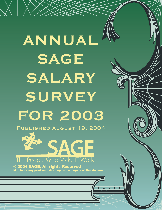**ANNUAL SAGE SALARY SURVEY FOR 2003 Published August 19, 2004**

 $\bigtimes \bigg|$  )

SAGE The People Who Make IT Work

© 2004 SAGE, All rights Reserved Members may print and share up to five copies of this document.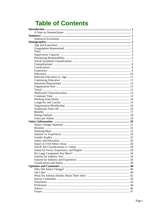# **Table of Contents**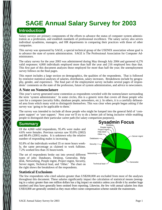# **SAGE Annual Salary Survey for 2003 Introduction**

Salary surveys are primary components of the efforts to advance the status of computer system administration as a profession, and establish standards of professional excellence. The salary survey also serves individual sysadmins, managers, and HR departments in comparing their practices with those of other companies.

This survey was sponsored by SAGE, a special technical group of the USENIX association whose goal is to advance the state of system administration. SAGE is The Professional Association for Computer Administrators.

The salary survey for the year 2003 was administered during May through July 2004 and garnered 4,276 valid responses: 4,060 individuals employed more than half the year and 216 employed less than that. This first part of this document analyzes those employed for more than half the year; the unemployment survey follows on the final pages.

This report includes a large section on demographics, the qualities of the respondents. That is followed by extensive statistical analyses of salaries, distribution, salary increases. Breakdowns include by geography, gender, and experience. The final part of the employment survey includes several pages of respondents' comments on the state of the profession, future of system administration, and advice to newcomers.

### **A Note on Nomenclature**

This year's survey generated some contention as respondents wrestled with the nomenclature surrounding the term 'system administrator.' In some circles, this is a generic term that covers all those people who care for a computer (security folks, database people, networkers, etc.). In others, it is a carefully delineated area from which many wish to distinguish themselves. This was clear when people began asking if the survey was 'going to be applicable to them.'

The survey was intended to include all those people who might be lumped into the general field of 'computer support' or 'user support.' Next year we'll try to do a better job of being inclusive while enabling people to distinguish their particular career path (for salary comparison purposes).

## **Summary**

Of the 4,060 valid respondents, 95.4% were males and 4.6% were females. Previous surveys saw 93.0% (2002) and 88.4% (2001) males. It is unknown why the relative number of responding males is increasing.

92.8% of the individuals worked 35 or more hours weekly, the same percentage as claimed to work fulltime. 7.2% worked less than 35 hours/week.

The set of respondents broke out into several different types of jobs: Databases, Desktop, Generalist, Help desk, Networking, People mgmt, Project mgmt, Security, Server mgmt, Technical lead, and 'Other.' The chart on the right shows the breakdown of the respondents.



## **Statistical Exclusions**

The few respondents who cited salaries greater than US\$200,000 are excluded from most of the analyses throughout this document. These salaries significantly impact the calculation of statistical means (averaging in a salary greater than one million dollars has a big impact on statistics unless you divide it by another huge number) and thus have generally been omitted from reporting. Likewise, the few with annual salaries less than US\$10,000 are generally omitted as they must reflect some compensation scheme outside the mainstream.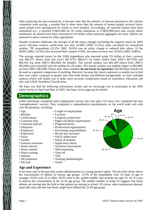After analyzing the data extensively, it became clear that the statistics of interest pertained to the salaries companies were paying, a number that is often more than the amount of money people received (since many people were unemployed for weeks or even months). Accordingly, all reported salaries have been annualized (i.e., a reported US\$25,000 for 26 weeks annualizes to US\$50,000/year) and, except where mentioned, all salaries have been converted to US dollars when statistical aggregates are used. Salaries are reported in native currencies when appropriate.

Despite economic doldrums, the average of all the salary changes (including the negative ones) for 2003 across full-time workers world-wide was plus 10.68% (2002: 8.15%) when calculated for annualized salaries. 785 respondents (23.2%; 2002: 24.0%) saw no salary change or reduced their salary. Of the 68.8% (2002: 54.5%) who increased their salaries 0-30%, the mean increase was 10.95% (2002: 8.88%).

The average reported salary for the 3,004 respondents who reported using US dollars as their currency was \$66,557 (down from last year's \$67,675): \$66,612 for males (down from 2002's \$67,920) and \$65,432 (up from 2002's \$64,946) for females. The overall median was \$62,500 (down from 2002's \$65,000) and coincided with the median for all males. The female median was slightly higher at \$65,000, up from 2002's \$63,000. Please note, these numbers **do not factor in experience** and therefore should not be used as a general comparison of anything. However, because this report endeavors to enable you to find how your salary compares to people who have both similar and different backgrounds, we have included analysis which will enable you to make more accurate comparisons based on experience, education, job title, and SAGE Sysadmin Classification.

We hope you find the following information useful, and we encourage you to participate in the 2004 salary survey in April and May of 2005. See http://www.sage.org for details.

## **Demographics**

4,060 individuals completed valid employment surveys this year (plus 216 more who completed the new 'unemployment' survey). They completed a comprehensive questionnaire on the world wide web with over 80 questions, including:

- Age
- Benefits
- Certifications
- Commute time
- Corporate policies
- Education
- Employers
- Experience
- Focus
- Gender
- General comments
- Home internet
- Hours worked
- Hours training
- Industry
- Job properties
- Job type
- Length of employment
- Location
- Longevity projections
- Pager/cell phone requirements
- Prognostications
- Professional organizations
- Purchasing responsibilities
- Recent pay increases
- SAGE admin level
- Salary & bonuses
- Supervisory duties
- Technical associations
- Telecommuting
- Time off
- Training methodologies
- Travel

## **Age and Experience**

It has been said in the past that system administration is a young person's game. The pie-chart above shows the concentration of admins in various age groups. 13.5% of the respondents were 24 years of age or younger; 29.6% were 35 or older. 56.9% were in the 'golden middle' that includes the ages 25..34. It's easy to observe the concentration in the 25-34 age group. The smaller number of under-25 suggests that fewer admins are moving into the field or that admins are staying in school. Of course, other explanations abound, especially since the dot-com boom might have inflated the 25-29 age group.



• Title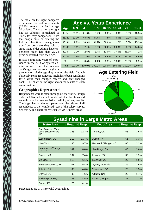The table on the right compares experience. Several respondents (12.9%) entered the field at age 30 or later. The chart on the right has its columns normalized to 100% for easy comparison. Note that people must be entering the field at other times than graduation from post-secondary school, since many older admins have experience much less than 22-23 years subtracted from their age.

In fact, subtracting years of experience in the field of system administration from the respondent's age can lead to a rough ap-

**Age vs. Years Experience** Age 0..3 4..5 6..9 10..15 16..20 21+ Total 0..24 50.0% 21.6% 3.7% 0.0% 0.0% 0.0% 13.5% 25..29 32.3% 48.5% 44.7% 7.5% 0.0% 0.0% 31.7% 30..34 9.2% 18.3% 34.2% 38.6% 1.7% 0.0% 25.3% 35..39 5.6% 7.1% 10.9% 32.6% 29.3% 1.0% 14.8% 40..44 1.2% 2.6% 3.4% 11.0% 37.5% 31.7% 7.2% 45..49 0.8% 1.5% 2.0% 6.9% 18.1% 37.5% 4.6% 50+ 0.9% 0.5% 1.1% 3.5% 13.4% 29.8% 2.9% Total 100.0% 100.0% 100.0% 100.0% 100.0% 100.0% 100.0%

proximation of the age they entered the field (though obviously some respondents might have been sysadmins for a while then changed careers and later changed back). The chart on the right shows the results of such an estimation.

### **Geographies Represented**

Respondents were located throughout the world, though only the USA and a small number of other locations had enough data for true statistical validity of any results. The large chart on the next page shows the origins of all respondents to the 'employed' part of the salary survey. See this page's chart for represented USA metro areas.



| <b>Sysadmins in Large Metro Areas</b>           |        |         |                       |        |         |  |  |  |
|-------------------------------------------------|--------|---------|-----------------------|--------|---------|--|--|--|
| <b>Metro Area</b>                               | # Resp | % Resp. | <b>Metro Area</b>     | # Resp | % Resp. |  |  |  |
| San Francisco/San<br>Jose/Silicon Valley,<br>СA | 228    | 12.3%   | Toronto, ON           | 66     | 3.5%    |  |  |  |
| Washington, DC                                  | 218    | 11.7%   | Austin, TX            | 61     | 3.3%    |  |  |  |
| New York                                        | 180    | 9.7%    | Research Triangle, NC | 60     | 3.2%    |  |  |  |
| Los Angeles/Orange<br>Co., CA                   | 149    | 8.0%    | San Diego, CA         | 48     | 2.6%    |  |  |  |
| Boston, MA,                                     | 137    | 7.4%    | Houston, TX           | 36     | 1.9%    |  |  |  |
| Chicago, IL                                     | 113    | 6.1%    | Montreal, QC          | 29     | 1.6%    |  |  |  |
| Seattle/Redmond, WA                             | 101    | 5.4%    | Sydney, Australia     | 29     | 1.6%    |  |  |  |
| Atlanta, GA                                     | 86     | 4.6%    | Vancouver, BC         | 28     | 1.5%    |  |  |  |
| Denver, CO                                      | 86     | 4.6%    | Ottawa, ON            | 26     | 1.4%    |  |  |  |
| Philadelphia, PA,                               | 83     | 4.5%    | London, England       | 21     | 1.1%    |  |  |  |
| Dallas, TX                                      | 76     | 4.1%    |                       |        |         |  |  |  |

Percentages are of 1,860 valid geographies.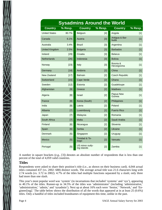|                       | <b>Sysadmins Around the World</b> |                                |                   |                         |         |  |  |  |  |
|-----------------------|-----------------------------------|--------------------------------|-------------------|-------------------------|---------|--|--|--|--|
| <b>Country</b>        | % Resp.                           | <b>Country</b>                 | % Resp.           | <b>Country</b>          | % Resp. |  |  |  |  |
| <b>United States</b>  | 80.7%                             | Belgium                        | [4]               | Angola                  | $[1]$   |  |  |  |  |
| Canada                | 6.1%                              | Austria                        | $[3]$             | Antigua & Bar-<br>buda  | $[1]$   |  |  |  |  |
| Australia             | 3.4%                              | <b>Brazil</b>                  | $\lceil 3 \rceil$ | Argentina               | [1]     |  |  |  |  |
| <b>United Kingdom</b> | 2.5%                              | <b>Bulgaria</b>                | $[3]$             | <b>Barbados</b>         | $[1]$   |  |  |  |  |
| Ireland               | [29]                              | Croatia                        | $[3]$             | <b>Belarus</b>          | $[1]$   |  |  |  |  |
| <b>Netherlands</b>    | [26]                              | Indonesia                      | $[3]$             | <b>Bolivia</b>          | $[1]$   |  |  |  |  |
| Norway                | $[23]$                            | Italy                          | $[3]$             | Bosnia &<br>Herzegovina | $[1]$   |  |  |  |  |
| Germany               | $[18]$                            | Andorra                        | [2]               | China                   | $[1]$   |  |  |  |  |
| New Zealand           | $[17]$                            | <b>Bahrain</b>                 | $[2]$             | <b>Czech Republic</b>   | $[1]$   |  |  |  |  |
| Switzerland           | [15]                              | Cape Verde                     | [2]               | Ghana                   | $[1]$   |  |  |  |  |
| Sweden                | $[12]$                            | Estonia                        | [2]               | Guadeloupe              | $[1]$   |  |  |  |  |
| Afghanistan           | [9]                               | Greece                         | $[2]$             | <b>Maldives</b>         | $[1]$   |  |  |  |  |
| Algeria               | [8]                               | Israel                         | [2]               | Papua New<br>Guinea     | $[1]$   |  |  |  |  |
| France                | [8]                               | Korea (South)                  | [2]               | Philippines             | $[1]$   |  |  |  |  |
| India                 | [8]                               | Latvia                         | [2]               | Poland                  | $[1]$   |  |  |  |  |
| Albania               | $[7]$                             | Luxembourg                     | $[2]$             | <b>Puerto Rico</b>      | $[1]$   |  |  |  |  |
| Japan                 | $[7]$                             | Malaysia                       | [2]               | Romania                 | $[1]$   |  |  |  |  |
| South Africa          | $[7]$                             | Malta                          | [2]               | Saudi Arabia            | $[1]$   |  |  |  |  |
| Finland               | [6]                               | Nicaragua                      | [2]               | Slovenia                | $[1]$   |  |  |  |  |
| Spain                 | [6]                               | Serbia                         | [2]               | Ukraine                 | $[1]$   |  |  |  |  |
| Denmark               | [5]                               | Singapore                      | [2]               | Uruguay                 | [1]     |  |  |  |  |
| <b>Mexico</b>         | [5]                               | Trinidad & To-<br>bago         | [2]               | Vanuatu                 | $[1]$   |  |  |  |  |
| Portugal              | [5]                               | US minor outly-<br>ing islands | $[2]$             | Zambia                  | $[1]$   |  |  |  |  |

A number in square brackets (e.g., [3]) denotes an absolute number of respondents that is less than one percent of the total of 4,059 valid countries.

### **Titles**

 $\sum_{\lambda}$ 

Respondents were asked to share their position's title (i.e., as shown on their business card). 4,044 actual titles contained 437 (vs. 2002: 688) distinct words. The average actual title was 21.6 characters long with 2.74 words (vs. 3.72 in 2002). 4.7% of the titles had multiple functions separated by a slash; only three had more than one slash.

This year's most popular word was 'system' (in incarnations that included 'systems' and 'sys'), appearing in 40.1% of the titles. Runner-up in 34.5% of the titles was 'administrator' (including 'administrative,' 'administration,' 'admin,' and 'sysadmin'). Next up at about 16% each were 'Senior,' 'Network,' and 'Engineer[ing].' The table below shows the distribution of all the words that appeared at in at least 25 (0.6%) titles. Only a handful of titles included brandnames of equipment this time, unlike in the past.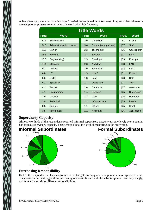A few years ago, the word 'administrator' carried the connotation of secretary. It appears that infrastructure support employees are now using the word with high frequency.

| <b>Title Words</b> |                               |       |                        |        |              |  |  |  |
|--------------------|-------------------------------|-------|------------------------|--------|--------------|--|--|--|
| Freq.              | <b>Word</b>                   | Freq. | <b>Word</b>            | Freq.  | <b>Word</b>  |  |  |  |
| 40.1               | Systems, sys                  | 2.9   | Consultant             | 1.0    | $III$ or $3$ |  |  |  |
| 34.5               | Administrat{or,ion,ive}, etc. | 3.6   | Comput{er,ing,ational} | $[37]$ | <b>Staff</b> |  |  |  |
| 16.6               | Senior                        | 2.3   | Technology             | $[36]$ | Coordinator  |  |  |  |
| 15.8               | <b>Network</b>                | 2.3   | Software               | $[34]$ | <b>DBA</b>   |  |  |  |
| 16.5               | $Engineer{ing}$               | 2.3   | Developer              | $[33]$ | Principal    |  |  |  |
| 10.4               | Manager                       | 2.3   | Architect              | $[33]$ | LAN          |  |  |  |
| 9.1                | Analyst                       | 1.9   | Technician             | $[32]$ | I or 1       |  |  |  |
| 6.8                | I.T.                          | 1.9   | II or $2$              | $[31]$ | Project      |  |  |  |
| 6.6                | <b>UNIX</b>                   | 1.8   | Lead                   | [28]   | Data         |  |  |  |
| 6.2                | <b>Specialist</b>             | 1.7   | Operations             | $[27]$ | <b>Tech</b>  |  |  |  |
| 4.1                | Support                       | 1.6   | Database               | $[27]$ | Associate    |  |  |  |
| 4.1                | Programmer                    | 1.4   | <b>Services</b>        | $[25]$ | Supervisor   |  |  |  |
| 3.9                | <b>Director</b>               | 1.3   | Web                    | $[25]$ | Research     |  |  |  |
| 3.8                | <b>Technical</b>              | 1.2   | Infrastructure         | $[25]$ | Leader       |  |  |  |
| 3.5                | Security                      | 1.1   | Officer                | $[25]$ | Chief        |  |  |  |
| 3.5                | Information                   | 1.1   | <b>Assistant</b>       | $[25]$ | Application  |  |  |  |

## **Supervisory Capacity**

Almost two thirds of the respondents reported informal supervisory capacity at some level; over a quarter had formal supervisory capacity. These charts hint at the level of mentoring in the profession.



#### **Formal Subordinates** 6+



## **Purchasing Responsibility**

Half of the respondents at least contribute to the budget; over a quarter can purchase less expensive items. The charts on the next pages show purchasing responsibilities for all the sub-disciplines. Not surprisingly, a different focus brings different responsibilities.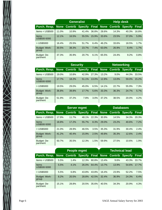|                         |       | <b>Generalist</b>                       |       |       | <b>Help desk</b> |       |                |              |
|-------------------------|-------|-----------------------------------------|-------|-------|------------------|-------|----------------|--------------|
| Purch. Resp.            |       | None Contrib Specify Final None Contrib |       |       |                  |       | <b>Specify</b> | <b>Final</b> |
| Items $<$ US\$500       | 11.0% | 10.9%                                   | 41.4% | 36.8% | 28.6%            | 14.3% | 40.3%          | 16.8%        |
| Items<br>US\$500-5000   | 12.1% | 16.5%                                   | 55.5% | 15.9% | 33.6%            | 23.5% | 37.0%          | 5.9%         |
| > US\$5000              | 16.4% | 25.5%                                   | 51.7% | 6.4%  | 46.2%            | 33.6% | 18.5%          | 1.7%         |
| Budget: Work-<br>group  | 30.5% | 38.3%                                   | 23.7% | 7.4%  | 63.0%            | 26.9% | 8.4%           | 1.7%         |
| Budget: De-<br>partment | 37.3% | 35.9%                                   | 20.7% | 6.1%  | 65.5%            | 24.4% | 9.2%           | 0.8%         |

|                         |       | <b>Security</b> |       |       |       | <b>Networking</b>                               |       |              |
|-------------------------|-------|-----------------|-------|-------|-------|-------------------------------------------------|-------|--------------|
| Purch. Resp.            |       |                 |       |       |       | None Contrib Specify Final None Contrib Specify |       | <b>Final</b> |
| Items $<$ US\$500       | 19.0% | 10.8%           | 42.9% | 27.3% | 13.2% | 9.0%                                            | 44.3% | 33.5%        |
| Items<br>US\$500-5000   | 17.7% | 18.2%           | 51.1% | 13.0% | 12.8% | 13.0%                                           | 59.0% | 15.2%        |
| > US\$5000              | 19.5% | 29.0%           | 45.0% | 6.5%  | 14.1% | 22.7%                                           | 55.9% | 7.3%         |
| Budget: Work-<br>group  | 36.8% | 39.8%           | 17.7% | 5.6%  | 33.3% | 36.3%                                           | 24.7% | 5.7%         |
| Budget: De-<br>partment | 51.9% | 37.2%           | 7.8%  | 3.0%  | 37.2% | 38.5%                                           | 20.0% | 4.2%         |

|                               | <b>Databases</b><br><b>Server mgmt</b> |       |                                                       |       |       |       |       |       |
|-------------------------------|----------------------------------------|-------|-------------------------------------------------------|-------|-------|-------|-------|-------|
| <b>Purch. Resp.</b>           |                                        |       | None Contrib Specify Final None Contrib Specify Final |       |       |       |       |       |
| Items $<$ US\$500             | 17.9%                                  | 11.7% | 48.1%                                                 | 22.3% | 30.9% | 14.5% | 34.3% | 20.3% |
| Items<br>US\$500-5000         | 18.8%                                  | 17.2% | 55.7%                                                 | 8.3%  | 29.0% | 23.2% | 40.6% | 7.2%  |
| > US\$5000                    | 21.0%                                  | 28.9% | 46.5%                                                 | 3.5%  | 35.3% | 31.9% | 30.4% | 2.4%  |
| <b>Budget: Work-</b><br>group | 41.2%                                  | 40.4% | 15.9%                                                 | 2.5%  | 49.8% | 35.3% | 12.6% | 2.4%  |
| Budget: De-<br>partment       | 50.7%                                  | 35.5% | 12.3%                                                 | 1.5%  | 59.9% | 27.5% | 10.6% | 1.9%  |

|                         |       | People mgmt |       |       |       | <b>Technical lead</b>                   |                |              |
|-------------------------|-------|-------------|-------|-------|-------|-----------------------------------------|----------------|--------------|
| <b>Purch. Resp.</b>     |       |             |       |       |       | None Contrib Specify Final None Contrib | <b>Specify</b> | <b>Final</b> |
| Items $<$ US\$500       | 5.5%  | 1.4%        | 12.3% | 80.8% | 13.4% | 9.6%                                    | 43.3%          | 33.7%        |
| Items<br>US\$500-5000   | 5.5%  | 4.1%        | 26.0% | 64.4% | 13.7% | 13.9%                                   | 54.6%          | 17.7%        |
| > US\$5000              | 5.5%  | 6.8%        | 43.8% | 43.8% | 16.4% | 23.9%                                   | 52.2%          | 7.5%         |
| Budget: Work-<br>group  | 8.2%  | 20.5%       | 28.8% | 42.5% | 32.4% | 36.9%                                   | 24.3%          | 6.4%         |
| Budget: De-<br>partment | 15.1% | 28.8%       | 20.5% | 35.6% | 40.5% | 34.3%                                   | 20.9%          | 4.3%         |

XXX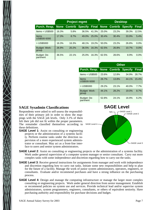|                               |       | <b>Project mgmt</b>                     |       |       |       | <b>Desktop</b> |                |              |
|-------------------------------|-------|-----------------------------------------|-------|-------|-------|----------------|----------------|--------------|
| Purch. Resp.                  |       | None Contrib Specify Final None Contrib |       |       |       |                | <b>Specify</b> | <b>Final</b> |
| Items $<$ US\$500             | 16.3% | 5.8%                                    | 36.5% | 41.3% | 25.0% | 23.2%          | 39.3%          | 12.5%        |
| Items<br>US\$500-5000         | 17.3% | 8.7%                                    | 49.0% | 25.0% | 30.4% | 30.4%          | 33.9%          | 5.4%         |
| > US\$5000                    | 16.3% | 16.3%                                   | 48.1% | 19.2% | 50.0% | 23.2%          | 26.8%          | 0.0%         |
| <b>Budget: Work-</b><br>group | 26.9% | 20.2%                                   | 36.5% | 16.3% | 62.5% | 26.8%          | 10.7%          | 0.0%         |
| Budget: De-<br>partment       | 36.5% | 22.1%                                   | 25.0% | 16.3% | 62.5% | 28.6%          | 8.9%           | 0.0%         |

|                               |       | <b>Other</b> |                                   |       |
|-------------------------------|-------|--------------|-----------------------------------|-------|
| Purch. Resp.                  |       |              | <b>None Contrib Specify Final</b> |       |
| Items $<$ US\$500             | 23.6% | 12.8%        | 34.9%                             | 28.7% |
| Items<br>US\$500-5000         | 26.7% | 13.8%        | 44.1%                             | 15.4% |
| > US\$5000                    | 29.2% | 23.1%        | 40.0%                             | 7.7%  |
| <b>Budget: Work-</b><br>group | 44.1% | 28.2%        | 19.0%                             | 8.7%  |
| Budget: De-<br>partment       | 52.8% | 24.1%        | 16.9%                             | 6.2%  |

## **SAGE Sysadmin Classifications**

Respondents were asked to self-assess the responsibilities of their primary job in order to show the mappings with the SAGE job levels. Only 3.1% of them felt their job did not fit within the proper parameters. The remainder classified themselves according to these definitions.

**SAGE Level 1:** Assist on consulting or engineering projects or the administration of a systems facility. Perform routine tasks under the direction supervision of a more experienced system administrator or consultant. May act as a front-line interface to users and senior system administrators.



- **SAGE Level 2**: Assist on consulting or engineering projects or the administration of a systems facility. Work under general supervision of a computer system manager or senior consultant. Carry out more complex tasks with some independence and discretion regarding how to carry out the tasks.
- **SAGE Level 3**: Receive general instructions for assignments from manager and work with independence and discretion regarding how to carry out tasks. Initiate some new responsibilities and help to plan for the future of a facility. Manage the work of junior system administrators, operators, engineers, or consultants. Evaluate and/or recommend purchases and have a strong influence on the purchasing process.
- **SAGE Level 4**: Design and manage the computing infrastructure or manage the larger more complex consulting or engineering projects. Work under general direction from senior management. Establish or recommend policies on system use and services. Provide technical lead and/or supervise system administrators, system programmers, engineers, consultants, or others of equivalent seniority. Have purchasing authority and responsibility for purchase decisions and budget.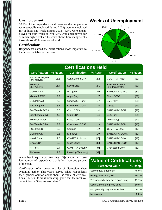### **Unemployment**

10.9% of the respondents (and these are the people who were generally employed during 2003) were unemployed for at least one week during 2003. 3.3% were unemployed for four weeks or less; 6.1% were unemployed for as much eight weeks. This chart shows how many weeks those almost-11% were out of work.

### **Certifications**

Respondents named the certifications most important to them; see the table for the results.

# **Weeks of Unemployment**



| <b>Certifications Held</b>                |         |                          |         |                                                |         |  |  |  |
|-------------------------------------------|---------|--------------------------|---------|------------------------------------------------|---------|--|--|--|
| <b>Certification</b>                      | % Resp. | <b>Certification</b>     | % Resp. | <b>Certification</b>                           | % Resp. |  |  |  |
| <b>Bachelors Degree</b><br>(any relevant) | 15.6    | Sun/Solaris SCN*         | 2.2     | <b>COMPTIA I-Net+</b>                          | [31]    |  |  |  |
| <b>Microsoft</b><br>MCP/MCP+i             | 11.4    | <b>Novell CNE</b>        | 2.1     | <b>SAIR certified Lin-</b><br>ux administrator | [31]    |  |  |  |
| Cisco CCNA                                | 10.7    | IBM (any)                | 2.0     | SANS/GIAC GSEC                                 | $[31]$  |  |  |  |
| Microsoft MCS*                            | 9.9     | Apple (any)              | 1.7     | Cisco CCDP                                     | $[27]$  |  |  |  |
| <b>COMPTIA A+</b>                         | 7.3     | Oracle/OCP (any)         | 1.7     | EMC (any)                                      | [24]    |  |  |  |
| Red Hat (any)                             | 6.7     | <b>Checkpoint CCSA</b>   | 1.5     | CSage                                          | [23]    |  |  |  |
| Sun/Solaris SCSA                          | 5.0     | Cisco CCDA               | 1.4     | <b>SANS/GIAC GCIA</b>                          | $[22]$  |  |  |  |
| Brainbench (any)                          | 4.0     | <b>Citrix CCA</b>        | 1.4     | SCO (any)                                      | $[21]$  |  |  |  |
| Microsoft Other                           | 4.0     | <b>Cisco CCIE</b>        | 1.3     | Lotus (any)                                    | [21]    |  |  |  |
| Sun/Solaris Other                         | 3.3     | <b>Checkpoint CCSE</b>   | 1.3     | <b>SANS/GIAC GCIH</b>                          | $[13]$  |  |  |  |
| (ICS)2 CISSP                              | 3.0     | Compaq                   | 1.2     | <b>COMPTIA Other</b>                           | $[12]$  |  |  |  |
| <b>COMPTIA N+</b>                         | 2.6     | LPI (any)                | 1.0     | <b>SANS/GIAC GCWN</b>                          | $[12]$  |  |  |  |
| <b>Novell CNA</b>                         | 2.5     | <b>COMPTIA Linux+</b>    | [40]    | <b>SANS/GIAC Other</b>                         | $[12]$  |  |  |  |
| Cisco CCNP                                | 2.5     | <b>Cisco Other</b>       | $[37]$  | <b>SANS/GIAC GCUX</b>                          | [12]    |  |  |  |
| HP (any)                                  | 2.4     | <b>COMPTIA Security+</b> | $[37]$  | <b>Checkpoint Other</b>                        | [11]    |  |  |  |
| $AIX$ (any)                               | 2.3     | Learning Tree (any)      | $[37]$  |                                                |         |  |  |  |
|                                           |         |                          |         |                                                |         |  |  |  |

A number in square brackets (e.g., [3]) denotes an absolute number of respondents that is less than one percent of the total.

Certifications often generate a lot of discussion when syadmins gather. This year's survey asked respondents their general opinion about about the value of certifications. The results are illuminating, given that the most vocal opinion is ''they are worthless.''

# **Value of Certifications**

| <b>Perceived value</b>               | $%$ Resp. |
|--------------------------------------|-----------|
| Sometimes, it depends                | 48.0%     |
| Rarely, a few are good               | 19.1%     |
| Yes, generally they are a good thing | 11.7%     |
| Usually, most are pretty good        | 10.0%     |
| No, generally they are worthless     | 9.3%      |
| No opinion                           | $2.0\%$   |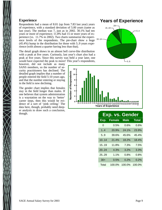### **Experience**

Respondents had a mean of 8.01 (up from 7.83 last year) years of experience, with a standard deviation of 5.00 years (same as last year). The median was 7, just as in 2002. 30.1% had ten years or more of experience; 11.8% had 15 or more years of experience (vs. 11.7% in 2002). Two charts summarize the experience levels of the respondents. The pie-chart show a huge (45.4%) hump in the distribution for those with 5..9 years experience (with almost a quarter having less than that).

The detail graph shows in an almost bell curve-like distribution with a peak at five years. Curiously, last year's chart also had a peak at five years. Since this survey was held a year later, one would have expected the peak to move! This year's respondents,

however, did not include as many SANS members, so the number of security practitioners has declined. The detailed graph implies that a number of people entered the field 5-10 years ago, and that the number entering or staying in the field is now declining.

The gender chart implies that females stay in the field longer than males. If one believes that system administration is a waystation on the way to 'better' career steps, then this would be evidence of a sort of 'pink ceiling.' The data here, though, probably need deeper analysis to draw such a conclusion, though.

## **Years of Experience**





|            | Exp. vs. Gender |             |              |
|------------|-----------------|-------------|--------------|
| Exp.       | <b>Female</b>   | <b>Male</b> | <b>Total</b> |
| 0          | 0.5%            | $0.6\%$     | 0.6%         |
| $1\quad 4$ | 20.9%           | 24.1%       | 23.9%        |
| 5.9        | 39.6%           | 45.6%       | 45.4%        |
| 10.14      | 21.4%           | 18.2%       | 18.4%        |
| 1519       | 11.8%           | 7.3%        | 7.5%         |
| 20.24      | 4.3%            | 3.2%        | 3.3%         |
| 25.29      | 1.1%            | 0.8%        | 0.8%         |
| $30+$      | 0.5%            | 0.2%        | $0.2\%$      |
| Total      | 100.0%          | 100.0%      | 100.0%       |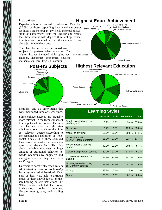## **Education**

 $(57.6%)$  of those responding have a college degree  $_{\text{Master}}$   $_{\text{Degree}}$ Experience is often backed by education. Over half (at least a Bachelors) in any field. Informal discussions at conferences yield the unsurprising results that those admins with degrees think college education is a real boon while the others argue, ''I get along just fine without one.''

The chart below shows the breakdown of subjects for post-secondary education. The 'Other' listings included philosophy, psychology, electronics, economics, physics, mathematics, law, English, commu-



Some Coll/Tech Sch Technical Cert(s) High School Diploma Less than HS Diploma Assoc. Degree Ph.D./D.Sc. Bachelors Degree **Highest Relevant Education** Less than HS Diploma High School Diploma Assoc. Degree Bachelors Degree Masters Degree

**Highest Educ. Achievement**

nications, and 65 other items that were mentioned three or fewer times.

Some college degrees are arguably more relevant (in the technical sense) to computer administration. The second chart above on the right takes this into account and shows the highest 'relevant' degree (according to the respondent's definition of 'relevant'). Only 7.4% of those surveyed have earned at least a Bachelors degree in a relevant field. This fact alone probably motivates a huge amount of attitudinal behavior towards sysadmins by engineers and managers who feel they have 'relevant' degrees.

Universities don't really teach system administration. How do people *really* learn system administration? Over 85% of them were able to attribute much of their knowledge to on-thejob training or self-instruction: The 'Other' entries included chat rooms, trial-by-fire, hobby computing, Google, user groups, and mailing lists.

**Learning Styles Not at all A bit Somewhat A lot** Taught myself (books, web, raught myself (books, web,  $0.9\%$  1.8% 9.4% 87.8% practice, etc.) On the job 1.2% 1.8% 12.0% 85.0% Mentor of any kind 28.0% 25.2% 29.6% 17.1% Univ./college educ. (CS/IS/IT degree program) 36.7% 27.1% 22.4% 13.7% Vendor-specific training courses 40.3% 33.2% 20.8% 5.7% Cer tification program courses 50.0% 27.7% 17.0% 5.2% Conferences/commercial training 44.5% 33.4% 18.2% 3.9% Non-degree tech school, Non-degree lech scribol, https://www.php?ide.coll., or univ. courses<br>coll., or univ. courses Militar y 93.8% 2.4% 1.5% 2.3% Other 98.9% 0.1% 0.1% 0.8%

Technical Cert(s)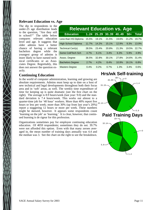### **Relevant Education vs. Age**

The dip in respondents in the under-25 age distribution leads to the question, ''Are they still in school?'' The table below compares relevant education level and age. It suggests that older admins have a better chance of having a relevant bachelors degree while the youngest group of admins is more likely to have earned technical certificates or an Associates Degree. Regrettably, this does not answer the question exactly.

| <b>Relevant Education vs. Age</b> |       |       |       |       |       |       |
|-----------------------------------|-------|-------|-------|-------|-------|-------|
| <b>Education</b>                  | 1.24  | 25.29 | 3039  | 4049  | $50+$ | Total |
| Less than HS Diploma              | 15.5% | 19.1% | 21.5% | 19.6% | 21.2% | 19.7% |
| <b>High School Diploma</b>        | 11.7% | 14.2% | 15.1% | 12.9% | 9.3%  | 13.9% |
| Technical Cert(s)                 | 28.5% | 23.4% | 20.8% | 21.3% | 19.5% | 22.7% |
| Some Coll/Tech Sch                | 4.7%  | 6.1%  | 3.4%  | 6.3%  | 5.9%  | 4.9%  |
| Assoc. Degree                     | 36.5% | 32.8% | 30.1% | 27.8% | 24.6% | 31.4% |
| <b>Bachelors Degree</b>           | 2.7%  | 4.2%  | 8.4%  | 10.9% | 16.1% | 6.8%  |
| <b>Masters Degree</b>             | 0.4%  | 0.2%  | 0.7%  | 1.3%  | 3.4%  | 0.6%  |

#### **Continuing Education**

In the world of computer administration, learning and growing are absolute requirements. Admins must keep up to date on a host of new technical and legal developments throughout both their focus area and in 'soft' areas, as well. The weekly time expenditure of time for keeping up is quite dramatic (see the first chart on the right). The average is 8.9 hours/week (last year: 9.0) and the standard deviation is 7.4 hours/week. This works out almost to a quarter-time job for '40 hour' workers. More than 40% report five hours or less per week; more than 30% (up from last year's 20%) report a staggering 12 hours or more per week. These numbers might be skewed, however. It appears some respondents count 'learning on the job' as 'learning.' It is clear, however, that continued learning is de rigeur for this profession.

Organizations sometimes pay for employee continuing education education. Of 4059 respondents; sometimes they do not. 39.7% were not afforded this option. Even with that many zeroes averaged in, the mean number of training days annually was 4.4 and the median was 3. See the chart on the right to see the breakdown.

# **Hrs/wk Self-training**

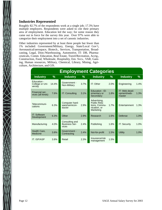### **Industries Represented**

Roughly 82.7% of the respondents work at a single job; 17.3% have multiple employers. Respondents were asked to cite their primary area of employment. Education led the way; for some reason they came out in force for the survey this year. Over 97% were able to categorize their employment into a set of canonic industries.

Other industries represented by at least three people but fewer than 1% included: Government/Military, Energy, State/Local Gov't, Aeronautical/aerospace, Biotech., Services, Transportation, Broadcasting, Legal, Distr./Warehousing, Automotive, IT: DB, Pharmaceuticals, Comm. Education, Real Estate, Travel/Recreation, Acctg., Construction, Food, Wholesale, Hospitality, Env. Svcs., VAR, Gaming, Human resources, Military, Chemical, Library, Mining, Agriculture, Architecture, and GIS.

| <b>Employment Categories</b>              |               |                                                 |      |                                                                            |      |                                         |      |  |
|-------------------------------------------|---------------|-------------------------------------------------|------|----------------------------------------------------------------------------|------|-----------------------------------------|------|--|
| <b>Industry</b>                           | $\frac{9}{6}$ | <b>Industry</b>                                 | $\%$ | <b>Industry</b>                                                            | %    | <b>Industry</b>                         | %    |  |
| Education -<br>College or Uni-<br>versity | 14.4%         | Government -<br>Non-Military                    | 3.7% | IT: Other                                                                  | 2.0% | Engineering                             | 1.4% |  |
| Financial ser-<br>vices (all kinds)       | 7.6%          | IT: Consulting                                  | 3.1% | <b>Education - El-</b><br>ementary or<br>Secondary                         | 1.8% | IT: Web devel-<br>opment/web-<br>master | 1.3% |  |
| Telecommuni-<br>cations                   | 6.3%          | Computer hard-<br>ware/semicon-<br>ductor       | 2.9% | Advertising,<br>Public Rela-<br>tions, Commu-<br>nication, or<br>Marketing | 1.7% | Entertainment                           | 1.3% |  |
| IT: Software<br>Development               | 6.3%          | Other                                           | 2.9% | Research                                                                   | 1.6% | Defense                                 | 1.0% |  |
| Manufacturing                             | 4.0%          | Consulting and<br><b>Business Ser-</b><br>vices | 2.4% | Publishing                                                                 | 1.6% | <b>IT: Security</b>                     | 1.0% |  |
| Health Care,<br>Medicine                  | 3.8%          | Government -<br>Contracting                     | 2.4% | Not-for-profit                                                             | 1.5% | <b>Utility</b>                          | 1.0% |  |
| IT: ISP/ASP                               | 3.8%          | Retail                                          | 2.3% | Insurance/risk<br>management                                               | 1.5% |                                         |      |  |

 $\bigtimes$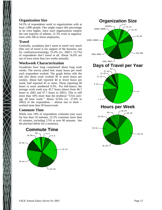### **Organization Size**

54.3% of respondents work in organizations with at least 1,000 people. One might expect this percentage to be even higher, since such organizations employ the vast majority of admins. 21.5% work in organizations with 100 or fewer employees.

### **Travel**

Generally, sysadmins don't seem to travel very much (this sort of travel is for support of the business, not for conferences/training); 55.4% (vs. 2002's 53.7%) of respondents don't travel at all. About 16.0% are out of town more than two weeks annually.

### **Workweek Characterization**

Sysadmins have long complained about long work weeks. The survey asked how many hours per week each respondent worked. The graph below tells the tale (for those work worked 30 or more hours per week)). About half reported 44 or fewer hours per week; half reported 45 or more. Those reporting 60 hours or more numbered 9.3%. For full-timers, the average work week was 45.7 hours (down from 46.7) hours in 2002 and 47.7 hours in 2001). This is still more than 10% more than the mythical ''USA average 40 hour week.'' About 32.6% (vs. 27.8% in 2002) of the respondents – almost one in three – worked more than 50 hours/week.

### **Commute Time**

While over 10% of respondents commute (one way) for less than 10 minutes, 22.5% commute more than 45 minutes, including 2.5% at over 90 minutes. See the piechart below for a summary.



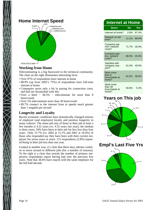

## **Working from Home**

Telecommuting is a big buzzword in the technical community. The chart on the right illuminates interesting facts:

- Over 97% of respondents have internet at home
- 88.9% (up from 2002's 75%) of respondents have full-time internet at home
- Companies assist only a bit in paying for connection costs, and half are dissatisfied with this
- Over a third 38.5% telecommute for more than 8 hours/week
- Over 5% telecommute more than 30 hours/week
- 89.7% connect to the internet from at speeds much greater than 1 megabit per second

## **Longevity and Loyalty**

Recent economic conditions have dramatically changed notions of employer (and employee) loyalty and position longevity in many cultures. The mean job stay of those at their job at least a few months is 4.22 years (vs. 4.32 years last year); the median is three years. 54% have been at their job for less less than four years. Only 15.7% (vs. 2002 at 15.1% and 2001 at 18.4%) of those who responded say they have been with their current employer for seven years or more. 115 respondents (2.8%) reported being in their job less than one year.

Looked at another way, it's clear that these days admins continue to move around to different jobs (for a number of reasons). To the right is a chart that reveals the number of primary employers respondents report having had over the previous five years. Note that 38.6% have stayed with the same employer for the full half-decade.

## **Internet at Home**

| Query                                          | <b>No</b> | <b>Yes</b>  |
|------------------------------------------------|-----------|-------------|
| Internet at home?                              |           | 2.6% 97.4%  |
| Network on full<br>time?                       | 11.1%     | 88.9%       |
| Company pay<br><b>ANY</b> network<br>costs?    |           | 71.7% 28.3% |
| Company pay<br><b>ALL network</b><br>costs?    | 80.0%     | 20.0%       |
| Satisfied with<br>company sup-<br>port?        |           | 51.0% 49.0% |
| Work more<br>than 8<br>hours/week at<br>home?  | 61.5%     | 38.5%       |
| Work more<br>than 30<br>hours/week at<br>home? | 94.8%     | 5.2%        |

# **Years on This job** 15+



**Empl's Last Five Yrs**

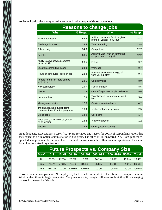As far as loyalty, the survey asked what would make people wish to change jobs.

| <b>Reasons to change jobs</b>                                          |         |                                                                     |           |  |  |  |  |
|------------------------------------------------------------------------|---------|---------------------------------------------------------------------|-----------|--|--|--|--|
| <b>Why</b>                                                             | % Resp. | <b>Why</b>                                                          | $%$ Resp. |  |  |  |  |
| Pay/compensation                                                       | 66.9    | Ability to work with/avoid a given<br>brand or vendor (incl. linux) | 14.2      |  |  |  |  |
| Challenge/interest                                                     | 39.4    | Telecommuting                                                       | 13.8      |  |  |  |  |
| Job security                                                           | 34.0    | Competence                                                          | 12.7      |  |  |  |  |
| <b>Benefits</b>                                                        | 30.5    | Ability to work with or contribute<br>to open source projects       | 12.2      |  |  |  |  |
| Ability to advance/be promoted<br>more quickly                         | 28.5    | <b>Ethics</b>                                                       | 9.7       |  |  |  |  |
| Location/commuting issues                                              | 24.3    | Workload                                                            | 9.7       |  |  |  |  |
| Hours or schedules (good or bad)                                       | 23.2    | Physical environment (e.g., of-<br>fices vs. cubicles)              | 9.4       |  |  |  |  |
| People (friendlier, more compe-<br>tent, etc.)                         | 22.1    | Company size                                                        | 8.9       |  |  |  |  |
| New technology                                                         | 19.7    | Family-friendly                                                     | 8.5       |  |  |  |  |
| Culture                                                                | 17.9    | On-call/pager/mobile phone issues                                   | 5.6       |  |  |  |  |
| Vacation time                                                          | 17.3    | Travel issues (want more or want<br>less)                           | 5.0       |  |  |  |  |
| Management/vision                                                      | 17.0    | Conference attendance                                               | 4.2       |  |  |  |  |
| Training, learning, tuition reim-<br>bursement, certification programs | 16.9    | Intellectual property policy                                        | 2.5       |  |  |  |  |
| Dress code                                                             | 14.9    | Child care                                                          | 1.7       |  |  |  |  |
| Reputation, size, potential, stabili-<br>ty, or mission                | 14.4    | Visa/work permit                                                    | 1.2       |  |  |  |  |
| Respect                                                                | 14.2    | Other (please specify)                                              | 1.1       |  |  |  |  |

As to longevity expectations, 80.6% (vs. 79.4% for 2002 and 75.8% for 2001) of respondents report that they expect to be in system administration in five years. The other 19.4% answered 'No.' Both genders responded at approximately the same level. The table below shows the differences in expectations for members of various sized organizations:

|                |           |                   |           |        |           | <b>Future Prospects vs. Company Size</b>        |        |           |
|----------------|-----------|-------------------|-----------|--------|-----------|-------------------------------------------------|--------|-----------|
| Stay?          |           |                   |           |        |           | 09 1049 5099 100499 500999 10004999 5000+ Total |        |           |
| N <sub>o</sub> |           | 28.5% 22.7% 26.8% |           | 15.9%  | 14.2%     | $19.0\%$                                        | 19.0%  | 19.4%     |
| <b>Yes</b>     | 71.5%     | 77.3%             | 73.2%     | 84.1%  | 85.8%     | 81.0%                                           | 81.0%  | 80.6%     |
| Total          | $100.0\%$ | 100.0%            | $100.0\%$ | 100.0% | $100.0\%$ | 100.0%                                          | 100.0% | $100.0\%$ |

Those in smaller companies (1..99 employees) tend to be less confident of their future in computer administration than those in large companies. Many respondents, though, still seem to think they'll be changing careers in the next half decade.

 $\sum_{\lambda}$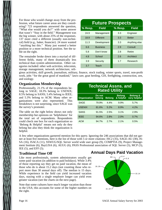For those who would change away from the profession, what future career areas are they considering? 723 respondents answered the question, ''What else would you do?'' with some answer that wasn't ''Stay in the field.'' Management was the big winner, with about 25% of the responses. 137 more cited a different (usually non-technical) field (e.g., baker, financier). 24 more wanted ''anything but this.'' Many just wanted a better position or a more technical position. See the table on the right.

The remainder broke down into a myriad of different fields, many of them dramatically less technical than system administration. Other categories included: other web activities, telecomm, storage management, network architecture, reli-

| <b>Future Prospects</b> |                  |  |         |               |  |  |
|-------------------------|------------------|--|---------|---------------|--|--|
| % Resp.                 | <b>Field</b>     |  | % Resp. | <b>Field</b>  |  |  |
| 24.9                    | Management       |  | 3.3     | Engineer      |  |  |
| 18.9                    | <b>Different</b> |  | 3.3     | <b>Better</b> |  |  |
| 11.3                    | Development      |  | 3.3     | Anything else |  |  |
| 6.6                     | <b>Business</b>  |  | 2.9     | Consult       |  |  |
| 5.8                     | Don't know       |  | 2.8     | Retire        |  |  |
| 4.8                     | School           |  | 2.6     | Architect     |  |  |
| 3.9                     | Security         |  | 1.7     | Research      |  |  |
| 3.7                     | Teach            |  |         |               |  |  |

gious activities, skill growth, journalism, military, finance, stock trading, winter sports, travel, non-profit work, jobs ''for the great good of mankind,'' lawn care, goat herding, GIS, firefighting, construction, zen, and zoology.

### **Organization Membership**

Professionally, 21.1% of the respondents belong to SAGE; 18.3% belong to USENIX; 8.5% belong to SANS; 5.4% belong to IEEE; and 5.3% belong to ACM. Many other organizations were also represented. This breakdown is not surprising, since SAGE was the survey's promoter.

The table on the right below shows not only membership but opinions on 'helpfulness' for the total set of respondents. Respondents could check one box for each organization so 'Belong & Helpful' means not only do they belong but also they think the organization is helpful.

| <b>Technical Assns. and</b><br><b>Rated Utility</b>                                                                           |       |      |      |      |  |
|-------------------------------------------------------------------------------------------------------------------------------|-------|------|------|------|--|
| <b>Belong &amp;</b><br><b>Belong</b><br>Do not<br>very helpful<br>& helpful<br><b>Organization</b><br><b>Belong</b><br>belong |       |      |      |      |  |
| <b>SAGE</b>                                                                                                                   | 79.9% | 4.4% | 9.9% | 5.7% |  |
| <b>USENIX</b>                                                                                                                 | 81.6% | 5.2% | 8.9% | 4.2% |  |
| <b>SANS</b>                                                                                                                   | 91.5% | 2.5% | 3.1% | 2.9% |  |
| <b>IFFE</b>                                                                                                                   | 94.6% | 2.8% | 2.0% | 0.7% |  |
| <b>ACM</b>                                                                                                                    | 94.7% | 2.7% | 2.1% | 0.5% |  |

A few other organizations garnered mention for this query. Ignoring the 246 associations that did not garner at least five mentions, here is the list of those with 5 or more citations: ISC2 (35), SAGE-AU (30), IS-SA (16), ISACA (11), SSWUG/SQL Server world wide user group (9), COMPTIA (9), Project Management Institute (6), BayLISA (6), AUUG (6), PASS Professional association of SQL Server (5), MCP (5), IEE (5), and EFF (5).

### **Traditional Time Off**

Like most professionals, system administrators usually get some paid vacation (in addition to paid holidays). While 3.4% of those reporting say they get no paid vacation, the mean of those who do is about 15.2 days (not counting those who report more than 30 annual days off). The median is 15 days. While experience in the field can yield increased vacation days, staying with a single employer longer can yield even greater vacation (see the charts on the next page).

Note that some cultures have much longer vacation than those in the USA; this accounts for some of the higher numbers on the right.

## **Annual Days Paid Vacation**

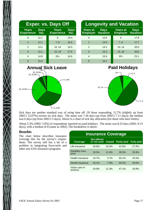| I                                                                                                              |  |
|----------------------------------------------------------------------------------------------------------------|--|
|                                                                                                                |  |
| l<br> <br> }                                                                                                   |  |
|                                                                                                                |  |
|                                                                                                                |  |
| 1                                                                                                              |  |
|                                                                                                                |  |
|                                                                                                                |  |
| ١                                                                                                              |  |
| $\overline{\phantom{a}}$                                                                                       |  |
| i,                                                                                                             |  |
|                                                                                                                |  |
|                                                                                                                |  |
|                                                                                                                |  |
| and the state of the state of the state of the state of the state of the state of the state of the state of th |  |
|                                                                                                                |  |
|                                                                                                                |  |
|                                                                                                                |  |
|                                                                                                                |  |
|                                                                                                                |  |
|                                                                                                                |  |
|                                                                                                                |  |
|                                                                                                                |  |
|                                                                                                                |  |
|                                                                                                                |  |
|                                                                                                                |  |
|                                                                                                                |  |
|                                                                                                                |  |
|                                                                                                                |  |
|                                                                                                                |  |
|                                                                                                                |  |
|                                                                                                                |  |
|                                                                                                                |  |
|                                                                                                                |  |
|                                                                                                                |  |
|                                                                                                                |  |
|                                                                                                                |  |
|                                                                                                                |  |
|                                                                                                                |  |
|                                                                                                                |  |
|                                                                                                                |  |
|                                                                                                                |  |
|                                                                                                                |  |

| <b>Exper. vs. Days Off</b>        |                     |                                   |                     |  |  |  |
|-----------------------------------|---------------------|-----------------------------------|---------------------|--|--|--|
| <b>Years</b><br><b>Experience</b> | <b>Days</b><br>Vac. | <b>Years</b><br><b>Experience</b> | <b>Days</b><br>Vac. |  |  |  |
| 0                                 | 12.7                | 6                                 | 15.4                |  |  |  |
| 1                                 | 12.1                | 7.9                               | 16.0                |  |  |  |
| $\mathcal{P}$                     | 13.1                | 10.14                             | 16.5                |  |  |  |
| 3                                 | 15.1                | 1519                              | 17.6                |  |  |  |
| 4                                 | 14.9                | $20+$                             | 16.6                |  |  |  |
| 5                                 | 15.5                |                                   |                     |  |  |  |

| <b>Longevity and Vacation</b>      |                         |                                    |                                |  |  |  |
|------------------------------------|-------------------------|------------------------------------|--------------------------------|--|--|--|
| <b>Years at</b><br><b>Employer</b> | <b>Days</b><br>Vacation | <b>Years at</b><br><b>Employer</b> | <b>Days</b><br><b>Vacation</b> |  |  |  |
| O                                  | 12.6                    | 6                                  | 17.8                           |  |  |  |
| 1                                  | 14.0                    | 7.9                                | 17.7                           |  |  |  |
| $\mathcal{P}$                      | 14.2                    | 10.14                              | 20.0                           |  |  |  |
| 3                                  | 15.2                    | 1519                               | 20.6                           |  |  |  |
| $\overline{4}$                     | 15.6                    | $20+$                              | 23.1                           |  |  |  |
| 5                                  | 16.2                    |                                    |                                |  |  |  |

# **Annual Sick Leave**



# **Paid Holidays**



Sick days are another standard way of using time off. Of those responding, 12.7% (silghtly up from 2002's 12.07%) receive no sick days. The mean was 7.36 days (up from 2002's 7.11 days); the median was 6 days (up from 2002's 5 days). Above is a chart of sick day allocation (for those who have limits).

About 5.3% (2002: 5.8%) of respondents reported no paid holidays. The mean was 8.23 days (2002: 8.15 days), with a median of 8 (same as 2002). The breakdown is above.

### **Benefits**

The chart below describes insurance coverage this for the survey's respondents. The survey still has a bit of a problem in integrating Euro-style and other non-USA insurance programs.

| <b>Insurance Coverage</b>  |                                   |               |                    |                   |  |  |  |  |
|----------------------------|-----------------------------------|---------------|--------------------|-------------------|--|--|--|--|
| <b>Coverage</b>            | <b>Not offered</b><br>or not used | <b>Unpaid</b> | <b>Partly paid</b> | <b>Fully paid</b> |  |  |  |  |
| Life insurance             | 20.8%                             | 10.3%         | 41.6%              | 27.3%             |  |  |  |  |
| Disability insur-<br>ance  | 23.5%                             | 11.0%         | 39.5%              | 25.9%             |  |  |  |  |
| Health insurance           | 10.7%                             | 3.7%          | 60.1%              | 25.5%             |  |  |  |  |
| Dental insurance           | 16.1%                             | 7.9%          | 55.5%              | 20.6%             |  |  |  |  |
| Vision care in-<br>surance | 24.9%                             | 11.3%         | 47.1%              | 16.8%             |  |  |  |  |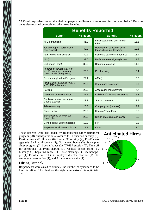75.2% of respondents report that their employer contributes to a retirement fund on their behalf. Respondents also reported on receiving other extra benefits.

| <b>Benefits Reported</b>                                                                 |         |                                                          |         |  |  |  |  |  |
|------------------------------------------------------------------------------------------|---------|----------------------------------------------------------|---------|--|--|--|--|--|
| <b>Benefit</b>                                                                           | % Resp. | <b>Benefit</b>                                           | % Resp. |  |  |  |  |  |
| 401(k) matching                                                                          | 41.9    | Flexible/cafeteria plan for ben-<br>efits                | 15.5    |  |  |  |  |  |
| Tuition support; certification<br>cost support                                           | 40.8    | Hardware or telecomm assis-<br>tance, discounts for home | 13.5    |  |  |  |  |  |
| Family medical insurance                                                                 | 40.2    | Domestic partnership benefits                            | 13.4    |  |  |  |  |  |
| 401(k)                                                                                   | 39.6    | Performance or signing bonus                             | 11.8    |  |  |  |  |  |
| Cell phone (paid)                                                                        | 33.0    | Donation matching                                        | 11.3    |  |  |  |  |  |
| Food/drink at work (i.e., cof-<br>fee, Friday bagel program,<br>cheap lunch, cheap soda) | 29.2    | <b>Profit sharing</b>                                    | 10.4    |  |  |  |  |  |
| Retirement plan/fund/program                                                             | 27.1    | 403(b)                                                   | 10.3    |  |  |  |  |  |
| Flextime/flexible hours (e.g., 9<br>$x 80, 4/40$ schedules)                              | 25.3    | Commuting assistance                                     | 7.9     |  |  |  |  |  |
| Parking                                                                                  | 25.0    | Association memberships                                  | 7.7     |  |  |  |  |  |
| Discounts of various kinds                                                               | 22.2    | Child care/childcare assistance                          | 5.3     |  |  |  |  |  |
| Conference attendance (in-<br>cluding tutorials)                                         | 22.2    | Special pensions                                         | 2.9     |  |  |  |  |  |
| Telecommuting                                                                            | 20.3    | Company car (or lease)                                   | 2.9     |  |  |  |  |  |
| Credit union                                                                             | 20.0    | Housing/home loan                                        | 2.7     |  |  |  |  |  |
| Stock options or stock pur-<br>chase plan                                                | 20.0    | RRSP (matching, assistance)                              | 2.5     |  |  |  |  |  |
| Gym, health club membership                                                              | 19.9    | <b>IRA</b>                                               | 2.2     |  |  |  |  |  |
| Employee stock ownership plan                                                            | 17.7    | Other                                                    | 2.0     |  |  |  |  |  |
|                                                                                          |         |                                                          |         |  |  |  |  |  |

These benefits were also added by respondents: Other retirement program (20), Transportation allowance (9), Education subsidy (8), Flexible medical/child care (6), Home PC subsidy (4), Food/beverages (4), Banking discounts (4), Guaranteed bonus (3), Stock purchase program (2), Special bonus (2), TV/ISP subsidy (2), Time off for consulting (1), Profit sharing (1), Medical doctor onsite (1), Massage (1), Legal insurance (1), House cleaning (1), Free newspaper (1), Flexible time off (1), Employee-directed charities (1), Career mgmt consultation (1), and Access to university (1).

### **Hiring Outlook**

Respondents were asked to estimate the number of sysadmins to be hired in 2004. The chart on the right summarizes this optimistic outlook.

# **Anticipated Hires** 10+

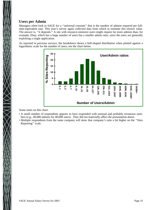## **Users per Admin**

Managers often look to SAGE for a ''universal constant'' that is the number of admins required per fulltime-equivalent user. This year's survey again collected data from which to estimate this elusive value. The answer is, ''it depends.'' A site with resource-intensive users might require far more admins than, for example, Ebay, which has a huge number of users but a smaller admin ratio, since the users are generally exploiting a single application.

As reported in previous surveys, the breakdown shows a bell-shaped distribution when plotted against a logarithmic scale for the number of users; see the chart below.



Some notes on this chart:

- A small number of respondents appears to have responded with unusual and probably erroneous numbers (e.g., 40,000 admins for 40,000 users). They did not materially affect the presentation above.
- Multiple respondents from the same company will skew that company's ratio a bit higher on the ''Sites Reporting'' scale.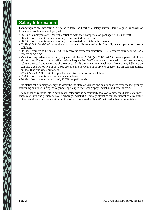## **Salary Information**

Demographics are interesting, but salaries form the heart of a salary survey. Here's a quick rundown of how some people work and get paid:

- 65.1% of employees are ''generally satisfied with their compensation package'' (34.9% aren't)
- 50.5% of respondents are not specially compensated for overtime
- 68.7% of respondents are not specially compensated for 'night' (shift) work
- 73.5% (2002: 69.9%) of respondents are occasionally required to be 'on-call,' wear a pager, or carry a cellphone
- Of those required to be on call, 83.0% receive no extra compensation; 12.7% receive extra money; 6.7% receive comp time)
- 25.5% of respondents never carry a pager/cellphone; 25.5% (vs. 2002: 44.2%) wear a pager/cellphone all the time. The rest are on call at various frequencies: 5.8% are on call one week out of two or more; 4.0% are on call one week out of three or so; 5.2% are on call one week out of four or so; 3.3% are on call one week out of five or so; 3.9% are on call one week out of six or so; 6.8% are on call sometimes, but less than one week out of six.
- 27.5% (vs. 2002: 30.3%) of respondents receive some sort of stock bonus
- 91.8% of respondents work for a single employer
- 86.3% of respondents are salaried; 13.7% are paid hourly

This statistical summary attempts to describe the state of salaries and salary changes over the last year by examining salary with respect to gender, age, experience, geography, industry, and other factors.

The number of respondents in certain sub-categories is occasionally too low to draw valid statistical inferences (e.g., just one person in, say, Anchorage, Alaska). Generally, statistics that are nonreliable by virtue of their small sample size are either not reported or reported with a '#' that marks them as unreliable.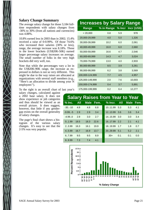### **Salary Change Summary**

The average salary change for those 3,184 fulltime respondents with salary changes from -30% to 30% (from all nations and currencies) was 4.88%.

10.8% earned less in 2003 than in 2002; 15.4% received a raise of 0-0.99%. Of those 74.6% who increased their salaries (30% or less), range, the average increase was 8.18%. Those in the lower brackets (US\$20K-50K) earned larger percentage salary increases on average. The small number of folks in the very high brackets did very well, too.

Note that while the percentages vary a lot in the US\$20K-90K range, the increase as expressed in dollars is not so very different. This might be due to the way raises are allocated at organizations with several staff members (e.g., ''Here's an allocation to divide among your N employees'').

To the right is an overall chart of last year's

salary changes, calculated against a 2002 base salary. It does not show experience or job categories and thus should be viewed as an overall picture. It does suggest, however, that little if any gendergap exists on the overall generality of salary changes.

The page's final chart shows a histogram of the various salary changes. It's easy to see that the 2-5% was very popular.

| <b>Increases by Salary Range</b> |                               |     |        |
|----------------------------------|-------------------------------|-----|--------|
| Range                            | % in Range % Incr Incr (US\$) |     |        |
| < 20,000                         | 0.8                           | 5.9 | 978    |
| 20,000-29,999                    | 4.0                           | 5.0 | 1,326  |
| 30,000-39,999                    | 10.2                          | 6.0 | 2,061  |
| 40,000-49,999                    | 16.0                          | 6.0 | 2,660  |
| 50,000-59,999                    | 16.6                          | 4.7 | 2,546  |
| 60,000-69,999                    | 14.3                          | 4.7 | 3,024  |
| 70,000-79,999                    | 13.0                          | 4.0 | 2,933  |
| 80,000-89,999                    | 8.5                           | 3.9 | 3,261  |
| 90,000-99,999                    | 6.2                           | 3.8 | 3,569  |
| 100,000-124,999                  | 7.7                           | 4.5 | 4,957  |
| 125,000-149,999                  | 2.0                           | 7.6 | 10,003 |
| 150,000-174,999                  | 0.4                           | 3.7 | 5,891  |
| 175,000-199,999                  | 0.2                           | 6.4 | 12,277 |

| <b>Salary Raises from Year to Year</b> |            |             |      |  |           |            |             |      |  |
|----------------------------------------|------------|-------------|------|--|-----------|------------|-------------|------|--|
| $%$ Inc.                               | <b>All</b> | <b>Male</b> | Fem. |  | $%$ Incr. | <b>All</b> | <b>Male</b> | Fem. |  |
| $-30 - 10$                             | 4.9        | 4.8         | 6.8  |  | 10.11.99  | 5.3        | 5.3         | 4.1  |  |
| $-9.99$ -5                             | 2.9        | 2.9         | 3.4  |  | 1213.99   | 3.6        | 3.6         | 3.4  |  |
| $-4.99.0$                              | 2.9        | 3.0         | 2.7  |  | 14.15.99  | 3.0        | 3.0         | 3.4  |  |
| 0.1.99                                 | 18.5       | 18.3        | 22.6 |  | 16.17.99  | 2.2        | 2.1         | 4.1  |  |
| 2.3.99                                 | 16.3       | 16.1        | 19.9 |  | 18.19.99  | 1.7        | 1.8         | 0.7  |  |
| 4.5.99                                 | 16.7       | 16.9        | 13.7 |  | 2029.99   | 5.1        | 5.2         | 2.1  |  |
| 6.7.99                                 | 9.5        | 9.5         | 8.9  |  | $30+$     | 0.1        | 0.1         | 0.0  |  |
| 8.9.99                                 | 7.3        | 7.4         | 4.1  |  |           |            |             |      |  |

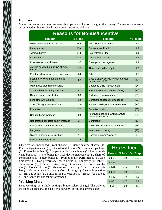### **Bonuses**

Some companies give one-time rewards to people in lieu of changing their salary. The respondents were asked whether they received such a bonus/incentive and why:

| <b>Reasons for Bonus/Incentive</b>                |         |                                                           |         |  |  |  |  |
|---------------------------------------------------|---------|-----------------------------------------------------------|---------|--|--|--|--|
| <b>Reason</b>                                     | % Resp. | <b>Reason</b>                                             | % Resp. |  |  |  |  |
| Did not receive at least 4% raise                 | 36.5    | Publicized achievements                                   | 1.4     |  |  |  |  |
| Performance                                       | 15.8    | Earned a certification                                    | 1.2     |  |  |  |  |
| Achieved goals                                    | 14.8    | Salary freeze lifted                                      | 1.1     |  |  |  |  |
| Annual raise                                      | 12.4    | Departure of others                                       | 1.1     |  |  |  |  |
| Increased responsibilities                        | 9.7     | Changed to management                                     | 1.1     |  |  |  |  |
| Worked hard with a positive attitude<br>and ethic | 9.3     | Threatened to leave/quit                                  | 1.0     |  |  |  |  |
| Maintained stable net/sys environment             | 6.8     | Other                                                     | 1.0     |  |  |  |  |
| Became involved in a high-profile<br>project      | 5.1     | Used a salary survey to educate your<br>management/HR     | $[40]$  |  |  |  |  |
| More active planning/mgmt role                    | 4.3     | Upgraded skills via education                             | $[34]$  |  |  |  |  |
| Changed (reclassified) position                   | 4.1     | Raise to combat other job offer(s)                        | $[31]$  |  |  |  |  |
| Client/customer satisfaction                      | 3.2     | Collective bargaining/union                               | [29]    |  |  |  |  |
| Long time without raise                           | 3.0     | Corporate success/profit sharing                          | [29]    |  |  |  |  |
| Cost of living adjustment/COLA                    | 3.0     | Earned a college/advanced degree                          | $[24]$  |  |  |  |  |
| Promotion                                         | 2.9     | <b>Probation ended</b>                                    | $[23]$  |  |  |  |  |
| Changed employers/job                             | 2.9     | Improved speaking, writing, and/or<br>presentation skills | [21]    |  |  |  |  |
| Requested/negotiated salary increase              | 2.7     | Contractual                                               | $[19]$  |  |  |  |  |
| Standard/across-the-board raise                   | 2.7     | Relocation within same company                            | $[15]$  |  |  |  |  |
| Longevity                                         | 2.1     | Went into consulting                                      | $[13]$  |  |  |  |  |
| Stayed in position (vs. 'quitting')               | 1.7     | Corporate buyout/takeover                                 | [8]     |  |  |  |  |
| Increased hours/overtime                          | 1.5     |                                                           |         |  |  |  |  |

Other reasons mentioned: Profit sharing (5), Bonus instead of raise (4), Punctuality/attendance (3), Stock-based bonus (2), Severance package (2), Fitness incentive (2), Company performance bonus (2), Union-motivated bonus (1), Travel bonus (1), Sick day reimbursement (1), Share of commissions (1), Safety bonus (1), Promotion (1), Performance (1), One time event (1), Non-performance based bonus (1), Longevity (1), Job reclassification (1), Insurance restructuring (1), Increase in job responsibilities (1), Housing bonus (1), Guaranteed bonus (1), Excess contract dollars (1), Customer satisfaction (1), Cost of living (1), Change in position (1), Buyout bonus (1), Bonus in lieu of vacation (1), Bonus for pay cut (1), and Bonus for budget performance (1).

### **Working More**

Does working more imply getting a bigger salary change? The table at the right suggests that this isn't true for 2003 except in extreme cases.

| Hrs vs.Incr. |     |                       |  |  |  |  |  |
|--------------|-----|-----------------------|--|--|--|--|--|
|              |     | Hours % Incr. % Resp. |  |  |  |  |  |
| 30-39        | 4.9 | 10.5                  |  |  |  |  |  |
| $40 - 44$    | 4.8 | 40.9                  |  |  |  |  |  |
| 45-49        | 4.9 | 22.1                  |  |  |  |  |  |
| 50-54        | 4.9 | 16.6                  |  |  |  |  |  |
| 55-59        | 4.8 | 42                    |  |  |  |  |  |
| 60-64        | 4.7 | 4.1                   |  |  |  |  |  |
| $65+$        | 6.0 | 1.5                   |  |  |  |  |  |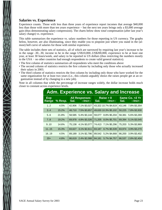### **Salaries vs. Experience**

Experience counts. Those with less than three years of experience report incomes that average \$40,000 less than those with more than ten years experience − but the next ten years brings only a \$3,000 average gain (thus demonstrating salary compression). The charts below show *total* compensation (after last year's salary change) vs. experience.

This table summarizes the experience vs. salary numbers for those reporting in US currency. The graphs below, however, are also illuminating, since they enable you to pinpoint just where you stand in the (almost) bell curve of salaries for those with similar experience.

The table includes three sets of statistics, all of which are narrowed by requiring last year's increase to be in the range -30...30, income to be in the range US\$10,000..US\$200,000, experience to be at least one year, at least 30 hours/week, and salary to be reported in US dollars (thus restricting the numbers mostly to the USA − no other countries had enough respondents to create valid general statistics).

- The first column of statistics summarizes all respondents who meet the conditions above
- The second column of statistics restricts the first column by including only those who actually increased their salary in 2003.
- The third column of statistics restricts the first column by including only those who have worked for the same organization for at least two years (i.e., this column arguably shows the raises people get at an organization instead of by changing to a new job).

Note in all columns that while the percentage of increase ranges widely, the dollar increase holds much closer to constant across experience levels.

|                     |                     |        |                                      | <b>Adm. Experience vs. Salary and Increase</b> |                             |        |                                 |  |
|---------------------|---------------------|--------|--------------------------------------|------------------------------------------------|-----------------------------|--------|---------------------------------|--|
| <b>Exp</b><br>Range | $\frac{9}{2}$ Resp. | Sal.   | <b>All Responses</b><br>$-$ Incr $-$ | Sal.                                           | Raise $> 0$<br>$-$ Incr $-$ | Sal.   | Same Co. > 2 Yr<br>$-$ Incr $-$ |  |
| 12                  | 4.5%                | 42.906 | 7.1% \$3,027                         |                                                | 43,322 10.7% \$4,619        | 43.146 | 7.8% \$3,354                    |  |
| 34                  | 15.2%               | 48.710 | 7.5% \$3,657                         |                                                | 49,630 10.3% \$5,102        | 50,225 | 7.8% \$3,930                    |  |
| 5.6                 | 21.8%               | 58,585 | 5.4% \$3,144                         | 59,077                                         | 8.8% \$5,204                | 58,381 | 5.6% \$3,269                    |  |
| 7.8                 | 19.2%               | 69.978 | 4.8% \$3,326                         | 71,205                                         | 8.0% \$5,701                | 69,394 | 5.1% \$3,545                    |  |
| 9.10                | 14.6%               | 75.138 | 4.1% \$3,077                         | 74,413                                         | 7.1% \$5,296                | 75,203 | 5.3% \$3,969                    |  |
| 1115                | 15.3%               | 83.627 | 3.1% \$2,611                         | 83,187                                         | 6.7% \$5,539                | 83,974 | 3.9% \$3,270                    |  |
| 1619                | 4.5%                | 89.189 | 3.1% \$2,786                         | 89.542                                         | 5.2% \$4,668                | 86,200 | 3.9% \$3,402                    |  |
| $20+$               | 4.8%                | 86.619 | 2.4% \$2,088                         | 84,181                                         | 5.7% \$4,757                | 86,537 | 2.8% \$2,404                    |  |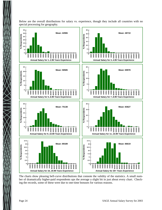

Below are the overall distributions for salary vs. experience, though they include all countries with no special processing for geography.

The charts show pleasing bell-curve distributions that connote the validity of the statistics. A small number of dramatically higher-paid respondents ups the average a slight bit in just about every chart. Checking the records, some of these were due to one-time bonuses for various reasons.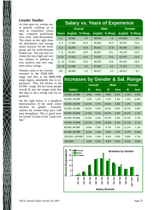### **Gender Studies**

As time goes on, women are, in general, catching up to men in experience (years ago, computer professions were truly male-dominated). The charts on the right show the distribution and average salary increase for the entire group and for males/females broken out. The top chart includes the very high and very low salaries in addition to very positive and very negative salary swings.

Females seem to be overrepresented in the \$50K-69K

range and also in the \$80K-89K range (again, potentially due to experience). They fall shorter in the \$150K+ range, but not many people overall fit into the ranges (and thus this data is not a strong case for argument).

On the right below is a graphical representation of the same salary brackets by gender. Geneally, salaries for women keep pace with men throughout. This is good news for former victims of the ''pink ceiling.''

# **Salary vs. Years of Experience**

| <b>Overall</b> |         |               |      | <b>Female</b>                 |         |  |
|----------------|---------|---------------|------|-------------------------------|---------|--|
|                | % Resp. |               |      | <b>AvgSal</b>                 | % Resp. |  |
| 39,961         | 7.4     | 39,859        | 7.5  | 43,096#                       | 5.0     |  |
| 47,085         | 16.4    | 46,692        | 16.4 | 55,542                        | 15.6    |  |
| 55,594         | 21.8    | 55,611        | 21.9 | 55,185                        | 18.9    |  |
| 66,922         | 18.9    | 66,827        | 19.1 | 69,105                        | 15.0    |  |
| 72,310         | 13.4    | 72,547        | 13.4 | 67,427                        | 13.3    |  |
| 79,851         | 13.8    | 80,826        | 13.6 | 65,543                        | 18.9    |  |
| 87,089         | 4.2     | 87,964        | 4.0  | 77,127                        | 7.2     |  |
| 85,690         | 4.2     | 86,917        | 4.1  | 69,072                        | 6.1     |  |
|                |         | <b>AvgSal</b> |      | <b>Male</b><br>AvgSal % Resp. |         |  |

# **Increases by Gender & Sal. Range**

|                |       | <b>Overall</b> |       | <b>Male</b> | <b>Female</b> |         |
|----------------|-------|----------------|-------|-------------|---------------|---------|
| <b>Salary</b>  | N     | Incr.          | N     | Incr.       | N             | Incr.   |
| 10,00019,999   | 0.9%  | 0.4%           | 0.8%  | 0.3%        | 2.2%          | 2.0%    |
| 20,00029,999   | 4.0%  | 1.2%           | 4.1%  | 1.4%        | 2.2%          | $-0.8%$ |
| 30,00039,999   | 10.4% | 4.7%           | 10.8% | 4.9%        | 2.2%          | 1.2%    |
| 40,00049,999   | 16.0% | 5.8%           | 16.0% | 5.8%        | 16.7%         | 5.8%    |
| 50,00059,999   | 17.0% | 5.2%           | 16.7% | 5.2%        | 22.2%         | 4.1%    |
| 60,00069,999   | 14.5% | 4.4%           | 14.4% | 4.5%        | 16.7%         | 2.7%    |
| 70,00079,999   | 12.7% | 3.4%           | 12.8% | 3.4%        | 11.1%         | 3.1%    |
| 80,00089,999   | 8.8%  | 2.0%           | 8.7%  | 2.1%        | 11.1%         | 1.1%    |
| 90,00099,999   | 6.5%  | 1.4%           | 6.5%  | 1.5%        | 6.7%          | $-0.3%$ |
| 100,000149,999 | 8.4%  | 2.8%           | 8.4%  | 3.0%        | 8.9%          | $-1.7%$ |
| 150,000+       | 0.8%  | 0.2%           | 0.8%  | 0.2%        | 0.0%          | 0.0%    |

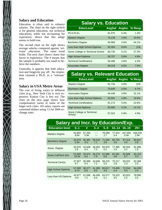### **Salary and Education**

Education is often said to enhance salaries. The chart on the right (which is for general education, not technical education), while not accounting for experience, shows that this adage seems to hold true.

The second chart on the right shows average salaries compared against 'relevant' education. The same trend holds. The next chart shows charts that factor in experience. The # means that the sample is probably too small to believe the numbers.

Generally, it appears that both education and longevity pay off. No respondent claimed a Ph.D. in a 'relevant' area.

### **Salary in USA Metro Areas**

The cost of living varies in different cities (e.g., New York City is very expensive; Kansas City is less so). The chart on the next page shows how compensation varies in some of the larger tech cities. All salary reports are converted dollars using 13 Jul 2004 exchange rates.

| <b>Salary vs. Education</b>      |               |      |                |  |  |  |  |  |
|----------------------------------|---------------|------|----------------|--|--|--|--|--|
| <b>EducLevel</b>                 | <b>AvgSal</b> |      | Avglnc % Resp. |  |  |  |  |  |
| Ph.D./D.Sc.                      | 81,075        | 5.4% | 1.4%           |  |  |  |  |  |
| <b>Masters Degree</b>            | 74,139        | 3.6% | 10.6%          |  |  |  |  |  |
| <b>Bachelors Degree</b>          | 64.568        | 4.6% | 44.1%          |  |  |  |  |  |
| Less than High School Diploma    | 62,354        | 8.6% | $[14]$         |  |  |  |  |  |
| Some College or Technical School | 60,730        | 5.1% | 27.3%          |  |  |  |  |  |
| High School Diploma              | 58,757        | 5.8% | 4.9%           |  |  |  |  |  |
| Technical Certificate(s)         | 56,498        | 4.8% | 4.3%           |  |  |  |  |  |
| <b>Associates Degree</b>         | 56,318        | 6.5% | 7.0%           |  |  |  |  |  |

# **Salary vs. Relevant Education**

| <b>EducLevel</b>                    |        |         | AvgSal AvgInc % Resp. |
|-------------------------------------|--------|---------|-----------------------|
| <b>Masters Degree</b>               | 81,734 | 3.8%    | [23]                  |
| <b>Bachelors Degree</b>             | 75.645 | $4.0\%$ | 6.7%                  |
| <b>Associates Degree</b>            | 64,446 | 4.8%    | 31.1%                 |
| Less than High School Diploma       | 63.591 | 4.8%    | 19.9%                 |
| Technical Certificate(s)            | 61,173 | 5.0%    | 22.6%                 |
| High School Diploma                 | 60,905 | 5.2%    | 14.1%                 |
| Some College or Technical<br>School | 57,322 | 5.8%    | 4.9%                  |

| <b>Salary and Incr. by Education/Exp.</b> |        |              |        |        |        |         |                  |  |  |
|-------------------------------------------|--------|--------------|--------|--------|--------|---------|------------------|--|--|
| <b>Education level</b>                    | 0.1    | $\mathbf{2}$ | 3.4    | 5.9    | 1014   | 1519    | $20+$            |  |  |
| <b>Masters Degree</b>                     | 63,892 | 57,250       | $---$  | 79,288 | 77,324 | 107,000 | 108,333          |  |  |
|                                           | 8.6#   | 5.9#         | $---$  | 2.7    | 5.4    | 0.0#    | 2.9#             |  |  |
| <b>Bachelors Degree</b>                   | 44,675 | 46,391       | 59,618 | 71,266 | 85,705 | 87,313  | 90,847           |  |  |
|                                           | 5.3#   | $-0.2$       | 7.1    | 3.8    | 3.6    | 4.0     | 2.8              |  |  |
| Assoc. Degree                             | 40,976 | 43,606       | 49,464 | 65,878 | 77,385 | 85,554  | 81,986           |  |  |
|                                           | 2.9    | 8.4          | 7.5    | 5.2    | 2.9    | 3.2     | 1.8              |  |  |
| Some Coll/Tech Sch                        | 51,600 | 32,874       | 40,273 | 52,986 | 65,381 | 92,689  | 84,154           |  |  |
|                                           | 10.5#  | 9.4          | 7.9    | 5.6    | 4.8    | 6.7     | 0.3 <sub>2</sub> |  |  |
| Technical Cert(s)                         | 37,927 | 36,998       | 43,846 | 58,215 | 75,217 | 83,022  | 82,368           |  |  |
|                                           | 9.7    | 9.3          | 7.2    | 5.5    | 2.6    | 2.3     | 2.5              |  |  |
| <b>High School Diploma</b>                | 57,000 | 38,277       | 41,365 | 60.817 | 74.499 | 72,016  | 84,295           |  |  |
|                                           | 8.7#   | 6.6          | 8.0    | 4.5    | 4.4    | 5.4     | 3.4              |  |  |
| Less than HS Diploma                      | 43,977 | 41,586       | 46,456 | 63,577 | 78,323 | 83,923  | 78,980           |  |  |
|                                           | $-0.5$ | 7.2          | 6.9    | 5.1    | 3.5    | 2.5     | $3.2^{\circ}$    |  |  |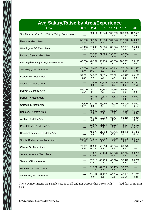| <b>Avg Salary/Raise by Area/Experience</b>           |                 |                 |               |                  |                  |                    |
|------------------------------------------------------|-----------------|-----------------|---------------|------------------|------------------|--------------------|
| <b>Area</b>                                          | 0.1             | 2.4             | 5.9           | 1014             | 1519             | $20+$              |
| San Francisco/San Jose/Silicon Valley, CA Metro Area | ----            | 62,011          | 88,048        | 106,359          | 106,093          | 107,583            |
|                                                      | ----            | 3.7             | 4.0           | 1.1              | $-0.2$           | -3.6               |
| New York Metro Area                                  | 58,000          | 60,137          | 83,653        | 101,046          | 112,646          | 149,000            |
|                                                      | 5.5#            | 5.8             | 7.8           | 2.6              | 3.2              | 0.0#               |
| Washington, DC Metro Area                            | 45,466          | 57,643          | 77,334        | 88,574           | 92,887           | 95,982             |
|                                                      | 15.7#           | 7.5             | 5.2           | 5.1              | 2.8              | 5.7                |
| London, England Metro Area                           | ----<br>----    | 53,780<br>5.5#  | 71,625<br>4.0 | 137,232<br>7.2#  | 65,834<br>7.4#   | ----               |
| Los Angeles/Orange Co., CA Metro Area                | 60,000          | 48,952          | 68,770        | 86,580           | 107,951          | 93,175             |
|                                                      | 20.0#           | 9.3             | 6.9           | 5.0              | 5.4              | 2.0                |
| San Diego, CA Metro Area                             | 40,000          | 45,000          | 73,109        | 85,444           | 77,139           | 102,500            |
|                                                      | 6.7#            | 10.2            | 5.0           | 5.0              | 2.5#             | $-5.8#$            |
| Boston, MA, Metro Area                               | 53,582          | 58,520          | 72,478        | 75,022           | 82,477           | 86,135             |
|                                                      | 6.1#            | 6.6             | 3.7           | 0.7              | $2.2\phantom{0}$ | 3.3                |
| Atlanta, GA Metro Area                               | ----            | 47,453          | 64,826        | 89,726           | 101,400          | 97,500             |
|                                                      | ----            | 8.8             | 5.6           | 1.2              | 4.3              | 7.5#               |
| Denver, CO Metro Area                                | 57,000          | 48,770          | 65,152        | 84,184           | 92,377           | 97,700             |
|                                                      | 0.0#            | 9.7             | 4.6           | 3.0              | 2.8              | 2.0                |
| Dallas, TX Metro Area                                | ----            | 49,175          | 70,623        | 73,502           | 83,472           | 92,000             |
|                                                      | ----            | 9.7             | 4.6           | 2.3              | $-0.4$           | 1.1#               |
| Chicago, IL Metro Area                               | 37,500          | 53,381          | 68,940        | 86,010           | 93,000           | 88,000             |
|                                                      | 14.7#           | 8.2             | 4.8           | $2.2^{\circ}$    | 2.8              | 6.1#               |
| Houston, TX Metro Area                               | ----            | 45,500          | 69,757        | 81,625           | 79,000           | 46,500             |
|                                                      | ----            | 9.8             | 5.1           | 6.1              | 1.7#             | $-0.6#$            |
| Austin, TX Metro Area                                | ----            | 45,335          | 69,268        | 86,777           | 82,416           | 43,864             |
|                                                      | ----            | 4.0             | 3.5           | 4.8              | 1.1              | 3.1#               |
| Philadelphia, PA, Metro Area                         | ----            | 52,579<br>4.5   | 61,114<br>3.9 | 80,253<br>2.1    | 78,987<br>3.9    | 61,500<br>$-13.2#$ |
| Research Triangle, NC Metro Area                     | ----            | 45,275<br>4.8   | 61,888<br>3.2 | 66,731<br>$-0.1$ | 84,250<br>$-1.1$ | 91,386<br>4.1#     |
| Seattle/Redmond, WA Metro Areas                      | 59,752          | 44,317          | 62,952        | 75,400           | 83,666           | 84,500             |
|                                                      | $-10.1#$        | 7.2             | 2.6           | 8.7              | 4.3              | 5.8#               |
| Ottawa, ON Metro Area                                | 70,901<br>13.2# | 42,993<br>14.3# | 55,313<br>2.1 | 62,744<br>3.7    | 66,375<br>4.5    |                    |
| Sydney, Australia Metro Area                         | ----            | 27,278          | 56,173        | 59,870           | 62,214           | 80,789             |
|                                                      | ----            | 13.0#           | 5.4           | $-1.1$           | 2.8              | 1.8#               |
| Toronto, ON Metro Area                               | ----            | 37,713          | 43,456        | 67,974           | 55,422           | 80,706             |
|                                                      | ----            | 13.6            | 4.1           | 7.0              | 2.5              | 2.0#               |
| Montreal, QC Metro Area                              | ----            | 31,271<br>7.2#  | 47,556<br>8.3 | 55,405<br>5.7    | 58,833<br>5.4#   | ----               |
| Vancouver, BC Metro Area                             | ----            | 33,102<br>8.9   | 42,227<br>6.6 | 60,040<br>0.6    | 60,342<br>11.1#  | 51,730<br>4.2#     |

The # symbol means the sample size is small and not trustworthy; boxes with '----' had few or no samples.

**EXXIII**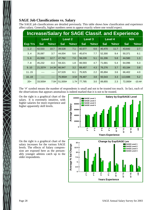## **SAGE Job Classifications vs. Salary**

The SAGE job classifications are detailed previously. This table shows how classification and experience affect salary. Generally, higher numbers seem to appear exactly where one would expect.

| <b>Increase/Salary for SAGE Classif. and Experience</b> |                |           |            |                |            |                |        |                |            |          |  |
|---------------------------------------------------------|----------------|-----------|------------|----------------|------------|----------------|--------|----------------|------------|----------|--|
|                                                         | <b>Level 1</b> |           |            | <b>Level 2</b> |            | <b>Level 3</b> |        | <b>Level 4</b> |            | N/A      |  |
| <b>Exp Yrs</b>                                          | <b>Sal</b>     | %Incr     | <b>Sal</b> | %Incr          | <b>Sal</b> | %Incr          | Sal    | %Incr          | <b>Sal</b> | %Incr    |  |
| 12                                                      | 42,533         | 10.7      | 39,528     | 7.1            | 42,577     | 6.6            | 40,470 | 11.7           | 43,642     | 2.7      |  |
| 3.4                                                     | 35,087         | 3.7       | 44,004     | 5.6            | 45,674     | 7.7            | 52,300 | 9.4            | 50,371     | 6.1      |  |
| 5.6                                                     | 41,559         | 12.7      | 47,762     | 7.0            | 56,239     | 5.1            | 61,206 | 5.8            | 44,580     | 1.3      |  |
| 7.8                                                     | 45,232         | $-0.3$    | 59,321     | 1.8            | 66,593     | 4.7            | 71,681 | 5.4            | 64,096     | 5.3      |  |
| 9.10                                                    | 21,337#        | 14.3#     | 66,947     | 3.2            | 69,457     | 4.3            | 76,276 | 3.7            | 63,184     | 3.8      |  |
| 1115                                                    | ----           | $- - - -$ | 67,529     | 6.1            | 75,925     | 2.2            | 85,894 | 3.6            | 66,402     | 4.0      |  |
| 1619                                                    |                | ----      | 75,950#    | 3.5#           | 78,487     | 3.8            | 93,543 | 3.3            | 113,688    | 5.2      |  |
| $20+$                                                   | 33,500#        | 7.0#      | 51,500#    | 1.7#           | 77,785     | 3.0            | 89,855 | 2.3            | 72,000#    | $-10.4#$ |  |

The '#' symbol means the number of respondents is small and not to be trusted too much. In fact, each of the observations that appears anomalous is indeed marked that it is not to be trusted.

On the right is a graphical chart of the salary. It is extremely intuitive, with higher salaries for more experience and higher apparently skill levels.

On the right is a graphical chart of the salary increases for the various SAGE levels. The effects of Salary compression are exposed here as the presumably younger admins catch up to the older respondents.



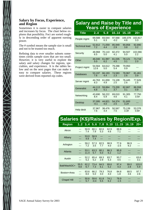## **Salary by Focus, Experience, and Region**

Sometimes it is easier to compare salaries and increases by focus. The chart below explores that possibility. Foci are sorted roughly in descending order of apparent earning power.

The # symbol means the sample size is small and not to be trusted too much.

Refining data to ever smaller subsets sometimes yields sample sizes that are too small. However, it is very useful to explore the salary and salary changes for regions, specialties, and experience. It is the tables below and on the next pages that can make it easy to compare salaries. These regions were derived from reported zip codes.

 $\bigtimes$ 

# **Salary and Raise by Title and Years of Experience**

| <b>Title</b>          | 24               | 5.9           | 1014          | 1519           | $20+$   |
|-----------------------|------------------|---------------|---------------|----------------|---------|
| People mgmt           | 69,588           | 83,544        | 97,568        | 100,379        | 102,817 |
|                       | 5.1              | 6.3           | $-0.2$        | 4.6            | 3.3     |
| <b>Technical lead</b> | 52,812           | 71,059        | 85,949        | 90,858         | 92,890  |
|                       | 7.2              | 4.4           | 2.9           | 3.8            | 3.2     |
| Security              | 48,968           | 70,110        | 82,472        | 94,507         | 102,066 |
|                       | 6.5              | 5.0           | 4.1           | 5.0            | 2.2     |
| Other                 | 46,040           | 61,997        | 81,035        | 78,121         | 73,718  |
|                       | 5.0              | 6.2           | 4.5           | 3.1            | 2.0     |
| Project mgmt          | 54,564<br>12.6   | 64,612<br>5.0 | 79,288<br>5.4 | 79,950<br>0.9  |         |
| Databases             | 53,197           | 66,193        | 74,583        | 78,967         | 81,461  |
|                       | 7.6              | 4.4           | 2.3           | 2.6            | 3.9     |
| Server mgmt           | 44,763           | 61,659        | 74,109        | 76.445         | 77,626  |
|                       | 8.3              | 4.9           | 2.5           | 2.6            | 2.5     |
| Generalist            | 44,113           | 59,864        | 73,200        | 82,667         | 86,558  |
|                       | 6.8              | 5.1           | 3.7           | 3.1            | 0.9     |
| Networking            | 43,690           | 58,222        | 69,010        | 91,305         | 77,750  |
|                       | 8.4              | 5.9           | 4.6           | 4.1            | 3.5#    |
| Desktop               | 37,095<br>$-0.1$ | 44,821<br>4.0 | 54,374<br>2.5 | 51,600<br>3.2# |         |
| Help desk             | 37,967           | 38,476        | 50,567        | 75,139         | 53,376  |
|                       | 7.6              | 4.4           | 7.5           | 3.3#           | 0.8#    |

# **Salaries (K\$)/Raises by Region/Exp. Region 1..2 3..4 5..6 7..8 9..10 11..15 16..19 20+**

| ----               |             |              |                |             |             |                |             |              |
|--------------------|-------------|--------------|----------------|-------------|-------------|----------------|-------------|--------------|
| Akron              | ---         | 50.9<br>7.4  | 60.1<br>7.9    | 82.6<br>5.3 | 62.9<br>4.6 | 88.6<br>7.1    | ---         | ---          |
| Albany             |             | 53.0<br>4.9  | 58.9<br>7.4    |             |             |                |             |              |
| Arlington          | ---         | 59.2<br>7.2  | 57.3<br>3.5    | 82.5<br>7.7 | 98.9<br>4.0 | 77.6<br>$-2.5$ | 96.9<br>9.2 |              |
| Atlanta            |             | 53.1<br>11.4 | 63.3<br>5.7    | 80.1<br>5.0 | 86.3<br>6.2 | 95.8<br>1.2    |             |              |
| Austin             | ---         | 52.2<br>5.2  | 65.4<br>5.2    | 69.3<br>2.9 | 83.7<br>5.3 | 93.7<br>4.5    | ---         | 63.6<br>3.1  |
| Balt/WashDC+       | 55.5<br>9.8 | 62.2<br>6.7  | 73.4<br>7.3    | 84.5<br>5.1 | 89.6<br>5.2 | 97.4<br>4.3    | 99.0<br>2.8 | 103.0<br>5.9 |
| Boston+Area        | ---         | 63.6<br>8.0  | 66.2<br>5.0    | 79.3<br>3.0 | 76.8<br>4.0 | 84.8<br>1.8    | 68.5<br>3.6 | 97.7<br>2.6  |
| <b>Chapel Hill</b> | ---         | 50.6<br>5.7  | 59.6<br>$-0.4$ | 61.8<br>5.5 | 74.1<br>6.2 | 78.9<br>$-1.5$ |             |              |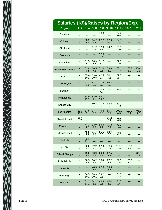| ļ |  |
|---|--|
| l |  |
|   |  |
| I |  |
|   |  |
|   |  |
|   |  |
|   |  |
|   |  |
|   |  |
|   |  |
|   |  |
|   |  |
|   |  |
|   |  |
|   |  |
|   |  |
|   |  |
|   |  |
|   |  |
|   |  |
|   |  |
|   |  |

| <b>Salaries (K\$)/Raises by Region/Exp.</b> |            |              |             |              |             |             |            |            |
|---------------------------------------------|------------|--------------|-------------|--------------|-------------|-------------|------------|------------|
| <b>Region</b>                               | 12         | 3.4          | 5.6         | 7.3          | 9.10        | 1115        | 1619       | $20+$      |
| Charlotte                                   | ---        | ---          | ---         | 76.8         | ---         | 84.7        | ---        | ---        |
|                                             | ---        | ---          | ---         | 6.5          | ---         | 0.5         | ---        | ---        |
| Chicago                                     | ---        | 63.9         | 64.7        | 87.2         | 82.6        | 94.6        | ---        | ---        |
|                                             | ---        | 8.6          | 4.2         | 4.9          | $-0.2$      | 3.8         | ---        | ---        |
| Cincinnati                                  | ---        | ---          | 61.7        | 72.0         | 70.7        | 69.6        | ---        | ---        |
|                                             | ---        | ---          | 5.1         | 3.7          | 4.4         | 3.0         | ---        | ---        |
| Columbia                                    | ---        | ---          | ---         | 57.6         | ---         | ---         | ---        | ---        |
|                                             | ---        | ---          | ---         | 9.5          | ---         | ---         | ---        | ---        |
| Columbus                                    | ---        | 51.5         | 66.9        | 71.7         | ---         | 82.0        | ---        | ---        |
|                                             | ---        | 6.1          | 3.5         | 8.9          | ---         | 2.9         | ---        | ---        |
| Denver/Front Range                          | ---        | 51.4         | 66.5        | 71.0         | 79.8        | 88.4        | 108.2      | 106.1      |
|                                             | ---        | 9.4          | 7.6         | 2.1          | 1.3         | 4.3         | 1.0        | 1.8        |
| <b>Detroit</b>                              | ---        | 55.0         | 63.0        | 62.5         | 74.1        | 69.3        | ---        | ---        |
|                                             | ---        | 10.2         | 10.8        | $-1.4$       | 4.6         | 2.4         | ---        | ---        |
| Fort Wayne                                  | ---        | 53.2         | 87.2        | 77.9         | 86.4        | ---         | ---        | ---        |
|                                             | ---        | 1.8          | 2.9         | 2.2          | 3.3         | ---         | ---        | ---        |
| Houston                                     | ---        | ---          | ---         | 70.8         | ---         | 83.5        | ---        | ---        |
|                                             | ---        | ---          | ---         | 4.9          | ---         | 4.4         | ---        | ---        |
| Indianapolis                                | ---<br>--- | 54.0<br>11.1 | 52.0<br>1.2 | 68.1<br>10.2 | ---<br>---  | ---<br>---  | ---<br>--- | ---        |
| <b>Kansas City</b>                          | ---        | ---          | 60.3        | 71.9         | 92.2        | 80.0        | ---        | ---        |
|                                             | ---        | ---          | 6.8         | 5.9          | 2.9         | $-0.4$      | ---        | ---        |
| Los Angeles                                 | 53.7       | 54.8         | 64.7        | 79.4         | 86.5        | 100.0       | 107.2      | 96.2       |
|                                             | 18.3       | 6.1          | 5.0         | 5.9          | 5.7         | 4.3         | 5.4        | 2.0        |
| Miami/Ft.Laud.                              | 58.4       | ---          | ---         | ---          | 96.2        | 92.2        | ---        | ---        |
|                                             | 1.7        | ---          | ---         | ---          | 5.1         | 6.3         | ---        | ---        |
| Milwaukee                                   | ---<br>--- | 47.3<br>4.2  | 63.9<br>4.7 | 59.9<br>1.9  | 75.8<br>6.2 | 77.9<br>3.6 | ---        | ---        |
| Mpls/St. Paul                               | ---        | 48.8         | 61.7        | 65.6         | 83.7        | 86.6        | ---        | ---        |
|                                             | ---        | 4.4          | 4.7         | 3.3          | 8.8         | -4.5        | ---        | ---        |
| Nashville                                   | ---<br>--- | 53.1<br>13.1 |             |              | ---<br>---  | ---<br>---  | ---        | ---<br>--- |
| New York                                    | ---        | 66.0         | 82.2        | 92.0         | 103.2       | 110.5       | 128.6      | ---        |
|                                             | ---        | 6.0          | 8.6         | 8.4          | 0.7         | 3.5         | 3.9        | ---        |
| Orlando/Tampa                               | ---        | 45.0         | 50.9        | 64.9         | 67.5        | ---         | ---        | 89.2       |
|                                             | ---        | 8.2          | 4.7         | 8.2          | 7.1         | ---         | ---        | 4.9        |
| Philadelphia                                | ---        | 60.3         | 60.2        | 73.4         | 67.2        | 87.6        | 101.9      | ---        |
|                                             | ---        | 3.8          | 6.2         | 7.4          | 1.1         | 3.5         | 3.9        | ---        |
| Phoenix                                     | ---        | ---          | 48.3        | 67.0         | 75.5        | ---         | ---        | ---        |
|                                             | ---        | ---          | 8.2         | 4.2          | 3.3         | ---         | ---        | ---        |
| Pittsburgh                                  | ---        | 56.5         | 58.9        | 73.2         | ---         | 81.5        | ---        | ---        |
|                                             | ---        | 10.2         | 10.1        | 0.5          | ---         | 7.3         | ---        | ---        |
| Portland                                    | ---        | 51.2<br>13.2 | 64.1<br>6.8 | 69.3<br>2.1  | 64.4<br>1.8 | 74.5<br>1.6 | ---<br>--- | ---        |
|                                             |            |              |             |              |             |             |            |            |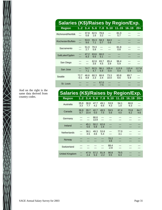| $\frac{1}{2}$ |
|---------------|
|               |
|               |
|               |
|               |
|               |
|               |
|               |
|               |
|               |
|               |
|               |

| <b>Salaries (K\$)/Raises by Region/Exp.</b> |                |             |             |                |                 |                           |              |                 |
|---------------------------------------------|----------------|-------------|-------------|----------------|-----------------|---------------------------|--------------|-----------------|
| <b>Region</b>                               |                |             |             |                |                 | 12 34 56 78 910 1115 1619 |              | $20+$           |
| Richmond/Norfolk                            | ---<br>---     | 37.8<br>0.8 | 62.5<br>1.6 | 78.6<br>3.2    | ---<br>---      | 81.0<br>5.7               |              |                 |
| Rochester/Buffalo                           | ---<br>---     | 53.0<br>9.6 | 55.3<br>7.1 | 58.3<br>0.7    | 64.0<br>0.6     |                           |              |                 |
| Sacramento                                  | ---            | 51.0<br>2.7 | 70.3<br>5.8 | ---<br>---     |                 | 81.8<br>0.8               |              |                 |
| SaltLake/Ogden                              | ---            | 47.2<br>8.3 | 63.6<br>6.6 | 66.0<br>5.1    | ---             |                           |              |                 |
| San Diego                                   | ---            | ---         | 62.8<br>3.6 | 83.7<br>4.5    | 85.4<br>3.9     | 96.4<br>5.9               | ---          | ---             |
| San Jose                                    | ---            | 74.7<br>7.1 | 92.5<br>4.7 | 96.1<br>5.9    | 105.4<br>$-0.4$ | 113.9<br>0.4              | 110.4<br>0.9 | 117.8<br>$-1.5$ |
| Seattle                                     | 72.7<br>$-0.1$ | 46.6<br>8.8 | 60.3<br>2.3 | 66.8<br>2.4    | 73.3<br>10.0    | 83.8<br>8.6               | 89.7<br>5.9  |                 |
| St. Louis                                   |                |             |             | 67.0<br>$-7.5$ | ---             |                           |              |                 |

| And on the right is the<br>same data derived from | Salaries (K\$)/Raises by Region/Exp. |             |              |              |                |                |                               |             |             |
|---------------------------------------------------|--------------------------------------|-------------|--------------|--------------|----------------|----------------|-------------------------------|-------------|-------------|
| country codes.                                    | <b>Region</b>                        |             |              |              |                |                | 12 34 56 78 910 1115 1619 20+ |             |             |
|                                                   | Australia                            | 35.6<br>3.3 | 38.8<br>7.7  | 47.7<br>4.2  | 49.1<br>6.6    | 53.9<br>4.3    | 54.1<br>1.0                   | 66.6<br>6.3 | ---<br>---  |
|                                                   | Canada                               | 36.8<br>8.7 | 39.7<br>10.4 | 42.7<br>5.0  | 48.5<br>7.5    | 59.5<br>5.6    | 67.4<br>4.0                   | 70.8<br>6.2 | 64.7<br>4.6 |
|                                                   | Germany                              | ---         | ---<br>---   | 66.6<br>13.9 | ---<br>---     |                |                               |             |             |
|                                                   | Ireland                              | ---         | 45.1<br>5.6  | 50.2<br>5.8  | 62.6<br>1.6    | ---            |                               |             |             |
|                                                   | <b>Netherlands</b>                   | ---<br>---  | 38.1<br>4.5  | 49.3<br>4.6  | 53.8<br>5.4    | ---<br>---     | 77.0<br>3.1                   | ---<br>---  |             |
|                                                   | Norway                               |             |              | ---          | ---<br>---     | 70.2<br>3.6    | ---                           |             |             |
|                                                   | Switzerland                          | ---         |              |              | ---<br>---     | 88.4<br>$-2.9$ |                               | ---         |             |
|                                                   | <b>United Kingdom</b>                | ---<br>---  | 47.9<br>2.4  | 57.2<br>5.3  | 81.9<br>$-2.2$ | 90.8<br>0.5    | 79.5<br>6.3                   |             |             |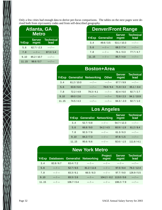Only a few cities had enough data to derive per-focus comparisons. The tables on the next pages were derived both from zip/country codes and from self-described geography.

| Atlanta, GA<br><b>Metro</b> |                       |                          |  |  |  |  |
|-----------------------------|-----------------------|--------------------------|--|--|--|--|
| <b>YrExp</b>                | <b>Server</b><br>mgmt | <b>Technical</b><br>lead |  |  |  |  |
| 5.6                         | $62.7 / -2.3$         | --- / ---                |  |  |  |  |
| 7.8                         | --- / ---             | 87.3/1.4                 |  |  |  |  |
| 9.10                        | 85.2 / 10.7           | $--- / ---$              |  |  |  |  |
| 1115                        | 98.6 / 0.7            | --- / ---                |  |  |  |  |

| <b>Denver/Front Range</b> |                   |                       |                          |  |  |  |  |
|---------------------------|-------------------|-----------------------|--------------------------|--|--|--|--|
| YrExp                     | <b>Generalist</b> | <b>Server</b><br>mgmt | <b>Technical</b><br>lead |  |  |  |  |
| 3.4                       | 49.6 / 3.5        | 53.1/10.3             | $--- / ---$              |  |  |  |  |
| 5.6                       | $--- / ---$       | 68.2 / 7.4            | --- / ---                |  |  |  |  |
| 7.8                       | $--- / ---$       | 76.1 / 0.3            | 77.7/4.7                 |  |  |  |  |
| 1115                      | $--- / ---$       | 85.7/4.0              | $--- / ---$              |  |  |  |  |

|      | <b>Boston+Area</b> |                                    |              |                       |                          |  |  |  |
|------|--------------------|------------------------------------|--------------|-----------------------|--------------------------|--|--|--|
|      |                    | <b>YrExp Generalist Networking</b> | <b>Other</b> | <b>Server</b><br>mgmt | <b>Technical</b><br>lead |  |  |  |
| 3.4  | 61.2 / 10.0        | $--- / ---$                        | $--- / ---$  | 67.7/9.9              | $--- / ---$              |  |  |  |
| 5.6  | 63.8/6.6           | $--- / ---$                        | 78.8 / 9.4   | 71.9/3.3              | $65.1 / -0.4$            |  |  |  |
| 7.8  | 72.2/4.9           | 79.3/4.1                           | $--- / ---$  | 82.4/6.0              | 92.7 / 2.7               |  |  |  |
| 9.10 | 69.0 / 2.6         | $--- / ---$                        | $--- / ---$  | 72.8/2.3              | 94.1 / 10.9              |  |  |  |
| 1115 | 74.5/4.3           | $--- / ---$                        | $--- / ---$  | $84.3 / -2.0$         | 92.7 / 1.0               |  |  |  |

|      | <b>Los Angeles</b> |                                    |                       |                          |  |  |  |  |  |  |
|------|--------------------|------------------------------------|-----------------------|--------------------------|--|--|--|--|--|--|
|      |                    | <b>YrExp Generalist Networking</b> | <b>Server</b><br>mgmt | <b>Technical</b><br>lead |  |  |  |  |  |  |
| 3.4  | 52.7/0.8           | $--- / ---$                        | 54.7/12.3             | $--- / ---$              |  |  |  |  |  |  |
| 5.6  | 66.8 / 9.0         | 54.2 / 4.5                         | $60.9 / -1.9$         | 61.2 / 8.4               |  |  |  |  |  |  |
| 7.8  | 92.3 / 7.6         | $--- / ---$                        | 61.3/6.3              | $--- / ---$              |  |  |  |  |  |  |
| 9.10 | 84.2 / 7.3         | $--- / ---$                        | 87.8 / 1.5            | $--- / ---$              |  |  |  |  |  |  |
| 1115 | 95.6 / 6.6         | $--- / ---$                        | $92.6 / -1.5$         | 111.6 / 4.1              |  |  |  |  |  |  |

# **New York Metro**

| <b>YrExp</b>   |             |             | Databases Generalist Networking | <b>Project</b><br>mgmt           | <b>Server</b><br>mgmt | <b>Technical</b><br>lead |
|----------------|-------------|-------------|---------------------------------|----------------------------------|-----------------------|--------------------------|
| 3 <sub>4</sub> | 82.8/6.7    | 63.4 / 7.2  | $--- / ---$                     | $--- / ---$                      | $--- / ---$           | $--- / ---$              |
| 5.6            | $--- / ---$ | 52.7/6.5    | 81.2 / 11.6                     | $--- / ---$                      | 97.0 / 8.4            | 79.2 / 12.4              |
| 7.8            | $--- / ---$ | 83.3/6.1    | 66.5 / 8.3                      | $--- / ---$                      | 97.7/9.0              | 126.9/5.5                |
| 9.10           | $--- / ---$ | 83.3 / 2.6  | $--- / ---$                     | $104.2 / -0.2 \quad 113.0 / 0.6$ |                       | $--- / ---$              |
| 1115           | $--- / ---$ | 106.7 / 0.4 | $--- / ---$                     | $--- / ---$                      | 108.2 / 7.9           | $--- / ---$              |

 $\frac{1}{2}$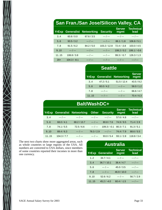# **San Fran./San Jose/Silicon Valley, CA**

|       |                | <b>YrExp Generalist Networking</b> | <b>Security</b> | <b>Server</b><br>mgmt | <b>Technical</b><br>lead |
|-------|----------------|------------------------------------|-----------------|-----------------------|--------------------------|
| 34    | 60.8 / 0.0     | 67.6 / 3.5                         | $--- / ---$     | $--- / ---$           | $--- / ---$              |
| 5.6   | 93.5 / 3.2     | $--- / ---$                        | $--- / ---$     | 86.1 / 1.8            | 106.8 / 5.1              |
| 7.8   | 91.5/6.2       | 84.2 / 5.0                         | 103.2 / 12.8    | $72.4 / -3.8$         | 103.0 / 4.5              |
| 9.10  | $--- / ---$    | $--- / ---$                        | $--- / ---$     | 108.2 / 0.2           | $106.1 / -0.6$           |
| 1115  | 108.8 / 3.8    | $--- / ---$                        | $--- / ---$     | $99.3 / -5.7$         | 126.3 / 1.3              |
| $20+$ | $104.3 / -8.1$ | $--- / ---$                        | $--- / ---$     | $--- / ---$           | $--- / ---$              |

| <b>Seattle</b> |             |                              |                       |  |  |  |  |  |
|----------------|-------------|------------------------------|-----------------------|--|--|--|--|--|
| <b>YrExp</b>   |             | <b>Generalist Networking</b> | <b>Server</b><br>mgmt |  |  |  |  |  |
| 3.4            | 47.2 / 5.1  | 51.5/12.4                    | 43.5/9.2              |  |  |  |  |  |
| 5.6            | 60.0 / 4.2  | $--- / ---$                  | 58.0 / 1.2            |  |  |  |  |  |
| 7.8            | $--- / ---$ | $--- / ---$                  | 66.6 / 4.7            |  |  |  |  |  |
| 1115           | --- / ---   | --- / ---                    | 70.4/6.3              |  |  |  |  |  |

| <b>Balt/WashDC+</b>                                                                                                        |             |             |             |                         |            |             |  |  |  |  |
|----------------------------------------------------------------------------------------------------------------------------|-------------|-------------|-------------|-------------------------|------------|-------------|--|--|--|--|
| <b>Technical</b><br><b>Server</b><br><b>YrExp Generalist Networking</b><br><b>Security</b><br><b>Other</b><br>lead<br>mgmt |             |             |             |                         |            |             |  |  |  |  |
| 3.4                                                                                                                        | $--- / ---$ | $--- / ---$ | $--- / ---$ | $--- / ---$             | 57.6/4.8   | $--- / ---$ |  |  |  |  |
| 5.6                                                                                                                        | 68.0 / 4.1  | 68.2/13.7   | $--- / ---$ | 80.8 / 7.6              | 74.9/9.5   | 71.4/2.9    |  |  |  |  |
| 7.8                                                                                                                        | 74.1 / 5.5  | 72.5/6.6    | $--- / ---$ | $109.3 / -0.1$ 80.3/7.1 |            | 91.3 / 5.1  |  |  |  |  |
| 9.10                                                                                                                       | 89.4/6.3    | $--- / ---$ | 78.3 / 2.9  | $--- / ---$             | 74.4/7.9   | 88.6 / 5.5  |  |  |  |  |
| 1115                                                                                                                       | 104.3 / 7.7 | $--- / ---$ | $--- / ---$ | 93.0 / 5.4              | 93.1 / 2.8 | 118.8 / 3.4 |  |  |  |  |

The next two charts show more aggregated areas, such as whole countries or large regions of the USA. All numbers are converted to USA dollars, since members of some countries reported their incomes in more than one currency.

| <b>Australia</b> |                   |                       |                          |  |  |  |  |  |  |  |
|------------------|-------------------|-----------------------|--------------------------|--|--|--|--|--|--|--|
| <b>YrExp</b>     | <b>Generalist</b> | <b>Server</b><br>mgmt | <b>Technical</b><br>lead |  |  |  |  |  |  |  |
| 12               | 34.7/4.1          | --- / ---             | $--- / ---$              |  |  |  |  |  |  |  |
| 3.4              | 36.7/10.1         | 38.4 / 4.7            | --- / ---                |  |  |  |  |  |  |  |
| 5.6              | --- / ---         | 45.0 / 3.5            | --- / ---                |  |  |  |  |  |  |  |
| 7.8              | --- / ---         | 46.9 / 10.0           | --- / ---                |  |  |  |  |  |  |  |
| 9.10             | 52.6/6.2          | --- / ---             | 56.7/2.9                 |  |  |  |  |  |  |  |
| 1115             | $45.2 / -4.0$     | $60.4 / -1.5$         | --- / ---                |  |  |  |  |  |  |  |

 $\lesssim$  XXIII XX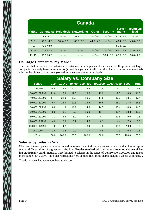|      | <b>Canada</b> |             |                                       |              |                 |                       |                          |  |  |  |
|------|---------------|-------------|---------------------------------------|--------------|-----------------|-----------------------|--------------------------|--|--|--|
|      |               |             | YrExp Generalist Help desk Networking | <b>Other</b> | <b>Security</b> | <b>Server</b><br>mgmt | <b>Technical</b><br>lead |  |  |  |
| 3.4  | 39.9/11.0     | $--- / ---$ | 37.3/12.2                             | $--- / ---$  | $--- / ---$     | 40.9 / 9.8            | $--- / ---$              |  |  |  |
| 5.6  | $39.2 / -1.0$ | 38.9 / 2.0  | 46.6 / 12.1                           | 44.5/4.9     | $--- / ---$     | 40.4/8.8              | 45.8 / 5.5               |  |  |  |
| 7.8  | 42.0 / 8.0    | $--- / ---$ | $--- / ---$                           | $--- / ---$  | $--- / ---$     | 51.2/8.9              | $--- / ---$              |  |  |  |
| 9.10 | 62.6/4.3      | $--- / ---$ | $--- / ---$                           | $--- / ---$  | $--- / ---$     | 62.1 / 8.7            | 57.0/1.9                 |  |  |  |
| 1115 | 75.5/6.2      | $--- / ---$ | $--- / ---$                           | $--- / ---$  | 59.4/3.9        | 67.5 / 3.6            | 60.8/1.2                 |  |  |  |

## **Do Large Companies Pay More?**

The chart below shows how salaries are distributed at companies of various sizes. It appears that larger companies not only have more admins (something you can't tell from the chart) but also have more admins in the higher pay brackets (something the chart shows very clearly).

| <b>Salary vs. Company Size</b> |       |       |       |        |        |          |         |              |  |  |  |
|--------------------------------|-------|-------|-------|--------|--------|----------|---------|--------------|--|--|--|
| <b>Salary</b>                  | 0.9   | 1049  | 5099  | 100499 | 500999 | 10004999 | $5000+$ | <b>Total</b> |  |  |  |
| 029,999                        | 24.8  | 12.2  | 10.4  | 6.9    | 7.5    | 5.0      | 3.7     | 6.8          |  |  |  |
| 30,00039,999                   | 21.6  | 15.9  | 12.8  | 13.6   | 12.9   | 9.3      | 8.3     | 11.3         |  |  |  |
| 40,00049,999                   | 14.4  | 22.9  | 18.8  | 18.6   | 17.6   | 16.6     | 13.1    | 16.4         |  |  |  |
| 50,00059,999                   | 6.4   | 16.9  | 19.8  | 15.4   | 16.5   | 15.0     | 17.6    | 16.5         |  |  |  |
| 60,00069,999                   | 8.8   | 11.3  | 11.1  | 14.3   | 14.5   | 15.4     | 14.8    | 14.0         |  |  |  |
| 70,00079,999                   | 8.0   | 8.1   | 9.0   | 10.9   | 11.4   | 12.4     | 13.8    | 11.8         |  |  |  |
| 80,00089,999                   | 3.2   | 5.5   | 6.2   | 6.7    | 4.7    | 10.6     | 9.0     | 7.8          |  |  |  |
| 90,0009,9999                   | 4.0   | 2.8   | 5.2   | 4.5    | 6.3    | 4.4      | 7.9     | 5.8          |  |  |  |
| 100,000149,999                 | 7.2   | 4.2   | 5.9   | 8.4    | 7.8    | 10.1     | 10.9    | 8.9          |  |  |  |
| 150,000+                       | 1.6   | 0.2   | 0.7   | 0.7    | 0.8    | 1.3      | 0.8     | 0.8          |  |  |  |
| Total                          | 100.0 | 100.0 | 100.0 | 100.0  | 100.0  | 100.0    | 100.0   | 100.0        |  |  |  |

## **Salaries by Industry Size**

Charts on the next pages show salaries and increases on an industry-by-industry basis with columns representing different sizes of a given organization. **Entries marked with '#' have almost no chance of being statistically valid.** Statistics were limited to salaries in the range of US\$10,000..\$200,000 and raises in the range -30%..30%. No other restrictions were applied (i.e., these charts include a global geography).

Trends in these data were very hard to discern.

 $\sum_{\lambda}$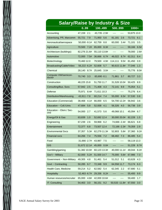| <b>Salary/Raise by Industry &amp; Size</b> |                |                |                 |                |  |  |  |  |
|--------------------------------------------|----------------|----------------|-----------------|----------------|--|--|--|--|
|                                            | 0.99           | 100499         | 500999          | 1000+          |  |  |  |  |
| Accounting                                 | 47.159<br>2.1  | 43,735 - 2.9#  | $-----$<br>---- | 53,875 13.0    |  |  |  |  |
| Advertising, PR, Marcomm                   | 55,721<br>7.9  | 71,950<br>5.6  | 81,181<br>2.6   | 73,721<br>6.1  |  |  |  |  |
| Aeronautical/aerospace                     | 50,000 - 9.1#  | 62,759<br>8.8  | 60,000<br>3.4#  | 71,101<br>3.5  |  |  |  |  |
| Agriculture                                | 70,500<br>7.2# | 65,000<br>8.3# | ----<br>----    | 59,166<br>6.5# |  |  |  |  |
| Architecture (buildings)                   | 82,276 21.6#   | 55,110 13.8#   | ----<br>----    | 78,000<br>2.6# |  |  |  |  |
| Automotive                                 | 72,000 7.5#    | 36,666<br>6.7# | 46,022<br>8.7#  | 62,311<br>8.4  |  |  |  |  |
| Biotechnology                              | 70,460 12.0    | 79,500<br>4.9# | 114,111<br>9.5# | 0.9<br>81,450  |  |  |  |  |
| Broadcasting/Cable/Video                   | 56,222 - 6.2#  | 52,608<br>5.7  | 90,615 11.8#    | 1.3<br>77,046  |  |  |  |  |
| Chemical                                   | 28,140 8.7#    | 25,645<br>3.0# | ----            | 75,776<br>8.0# |  |  |  |  |
| Computer HW/semicon-<br>ductor             | 3.3<br>70,740  | 83,690 - 0.1   | 71,861<br>3.7   | 80,727<br>3.3  |  |  |  |  |
| Construction                               | 48,225 15.8    | 51,750 11.7    | 31.528 10.0#    | 50,425<br>8.9  |  |  |  |  |
| Consulting/Bus. Svcs                       | 57,942<br>2.5  | 71,408<br>4.3  | 72,141<br>9.9   | 75,054<br>5.1  |  |  |  |  |
| Defense                                    | 75.971<br>8.4# | 71,611 10.3    | ----<br>----    | 75,276<br>6.4  |  |  |  |  |
| Distribution/Warehousing                   | 43,911 - 7.8   | 60,214<br>7.4  | 55,000<br>6.5#  | 57,530<br>0.8  |  |  |  |  |
| <b>Education (Commercial)</b>              | 38,468<br>4.1# | 66,000<br>6.5  | 54,700 12.2#    | 3.6<br>56,942  |  |  |  |  |
| Education - Coll./Univ.                    | 47,684<br>5.8  | 52,938<br>4.1  | 56,326 4.0      | 56,738<br>3.9  |  |  |  |  |
| Education - Elem./ Sec-<br>ond             | 54,000<br>2.7  | 41,573<br>5.6  | 49,068 10.1     | 6.7<br>45,094  |  |  |  |  |
| Energy/Oil & Gas                           | 1.0<br>63,839  | 52,692 12.4    | 30,000 20.0#    | 1.5<br>82,228  |  |  |  |  |
| Engineering                                | 67,239<br>2.6  | 59,968 6.2     | 74,666 - 2.4#   | 66,621<br>6.8  |  |  |  |  |
| Entertainment                              | 72,377<br>6.8  | 73,507 12.4    | 72,166 - 2.3#   | 79,359<br>2.9  |  |  |  |  |
| <b>Environmental Svcs</b>                  | 37,357<br>5.3# | 62,279 11.3#   | 52,803 5.8#     | 37,360<br>9.2# |  |  |  |  |
| <b>Financial svcs</b>                      | 64,266<br>7.4  | 75,556 7.2     | 68,482<br>7.3   | 86,485<br>5.4  |  |  |  |  |
| Food                                       | 31,666 - 2.7#  | 43,987<br>7.5  | ----            | 58,119 13.3    |  |  |  |  |
| <b>GIS</b>                                 | 51,672 12.1#   | 45,000 0.0#    |                 | 51,228<br>8.7# |  |  |  |  |
| Gambling/gaming                            | 51,382 10.0#   | 60,123 13.3#   | 40,000 11.1#    | 49,044<br>8.2# |  |  |  |  |
| Gov't - Military                           | 62,000 5.2#    | 51,500 14.7    | 75,000 5.6#     | 67,986<br>7.3  |  |  |  |  |
| Government - Non-Military                  | 49,305 4.8     | 51,461<br>5.4  | 51,012 5.1      | 63,628<br>4.3  |  |  |  |  |
| Govt - Contracting                         | 50,285<br>6.7  | 72,348<br>9.9  | 64,558 11.7     | 73,174<br>6.3  |  |  |  |  |
| Health Care, Medicine                      | 59,214 5.2     | 62,582<br>5.4  | 62,345 2.2      | 67,680<br>5.1  |  |  |  |  |
| Hospitality                                | 52,463 - 6.7#  | 29,336 8.2#    | ----            | 9.9<br>55,400  |  |  |  |  |
| Human resources/recruiter                  | 65,000<br>4.8# | 42,000 10.6#   | ----<br>----    | 59,400<br>1.7  |  |  |  |  |
| IT: Consulting                             | 54,463<br>3.0  | 9.2<br>56,151  | 50,533 -11.8#   | 3.0<br>67,550  |  |  |  |  |

 $\sum\limits_{i=1}^{N}$ 

 $\bigotimes$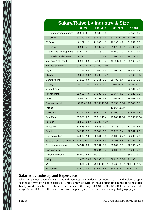| <b>Salary/Raise by Industry &amp; Size</b> |                |                |                |                |
|--------------------------------------------|----------------|----------------|----------------|----------------|
|                                            | 0.99           | 100499         | 500999         | $1000+$        |
| IT: Databases/data mining                  | 45.214 6.7     | 65,330<br>3.6  | ----<br>----   | 77,857 6.4     |
| IT: ISP/ASP                                | 52,128<br>4.0  | 64,855<br>6.8  | 57,722 12.0#   | 72,697<br>5.2  |
| IT: Other                                  | 48,272<br>1.3  | 71,660<br>4.6  | 78,230<br>4.2  | 5.7<br>64,852  |
| <b>IT: Security</b>                        | 62,940<br>4.7  | 83,807<br>7.0  | 51,672 0.0#    | 77,706<br>2.0  |
| IT: Software Development                   | 54,807 5.2     | 3.2<br>73,376  | 75,868 2.9     | 76,810<br>5.5  |
| IT: Web dev./webmaster                     | 1.1<br>59,786  | 63,276<br>4.9  | 47,500 5.6#    | 79,323<br>5.3  |
| Insurance/risk mgmt                        | 66,900<br>6.5  | 64,900<br>5.7  | 97,833 - 0.8#  | 66,165<br>4.9  |
| Intellectual property                      | 82,500<br>5.1# | 82,000<br>3.8# | ----           | ----<br>----   |
| Legal                                      | 63,761<br>6.5  | 62,400<br>4.4  | 60,000 9.1#    | 4.9<br>88,635  |
| Library                                    | 59,651<br>5.0# | 33,490<br>5.7# | ----<br>----   | 64,362<br>3.0# |
| Manufacturing                              | 54,250<br>6.6  | 54,251<br>5.5  | 55,438 5.4     | 5.8<br>68,863  |
| Military                                   | ----           | 45,619<br>5.0# | 21,667 - 27.8# | 44,700 10.2    |
| Mining/Energy                              | ----<br>----   | ----<br>----   | ----<br>----   | 62,581<br>4.9  |
| Not-for-profit                             | 61,659<br>4.6  | 54,583<br>7.6  | 53,367 6.8     | 54,522<br>7.1  |
| Other                                      | 55,056 4.3     | 58,751<br>3.8  | 67,837 - 13.5  | 78,502<br>3.6  |
| Pharmaceuticals                            | 57,700 - 1.8#  | 68,738 15.9#   | 68,750 9.0#    | 78,046 6.7     |
| Political                                  | ----<br>----   | ----<br>----   | 13,867 26.1#   | ----<br>----   |
| Publishing                                 | 62,172<br>6.9  | 54,472<br>1.4  | 83,000 1.9#    | 82,452 3.4     |
| <b>Real Estate</b>                         | 55,375<br>6.5  | 55,618 11.4    | 78,000 12.9#   | 55,333 15.0#   |
| Religion                                   | 28,500<br>9.6# | 52,000<br>4.0# | ----<br>----   | ----<br>----   |
| Research                                   | 62,543<br>4.0  | 46,533<br>3.9  | 46,273<br>7.0  | 5.6<br>71,381  |
| Retail                                     | 34,741<br>5.3  | 63,042 6.3     | 55,829<br>9.4  | 72,684<br>2.9  |
| Services (other)                           | 1.2<br>44,062  | 52,041<br>8.6  | 2.7#<br>75,000 | 72,209<br>2.9  |
| <b>State or Local Government</b>           | 42,600 10.3#   | 44,531<br>5.3  | 46,795<br>5.8  | 50,291<br>7.5  |
| Telecommunications                         | 64,547 2.0     | 58,131<br>5.7  | 60,867<br>5.0  | 4.3<br>72,739  |
| Transportation                             | ----<br>----   | 43,204<br>9.7  | 52,000<br>3.0# | 4.3<br>65,295  |
| Travel/Recreation                          | 5.5#<br>58,000 | $60,007 -1.9$  | ----<br>----   | 3.3<br>68,910  |
| <b>Utility</b>                             | 5.8#<br>42,608 | 68,636 6.1     | 39,918<br>7.7# | 71,136<br>4.4  |
| <b>VAR</b>                                 | 57,361<br>4.2  | 75,000 10.3#   | 38,468<br>8.5# | 109,000 - 1.8# |
| Wholesale                                  | 43,500<br>0.4# | 52,562 6.4     | 39,833<br>8.1# | 48,500 -11.0#  |

## **Salaries by Industry and Experience**

Charts on the next pages show salaries and increases on an industry-by-industry basis with columns representing different levels of experience. Entries marked with '#' have almost no chance of being statis**tically valid.** Statistics were limited to salaries in the range of US\$10,000..\$200,000 and raises in the range -30%..30%. No other restrictions were applied (i.e., these charts include a global geography).

XXIIXX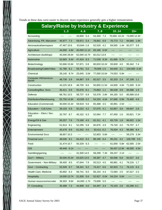Trends in these data were easier to discern: more experience generally gets a higher remuneration.

| <b>Salary/Raise by Industry &amp; Experience</b> |                |                |                 |                |                |  |  |  |
|--------------------------------------------------|----------------|----------------|-----------------|----------------|----------------|--|--|--|
|                                                  | 13             | 46             | 79              | 1014           | $15+$          |  |  |  |
| Accounting                                       | ----<br>----   | 33,600<br>5.4  | 54,300<br>7.3   | 70,000 - 22.2# | 73,000 12.3#   |  |  |  |
| Advertising, PR, Marcomm                         | 45,977<br>7.3  | 59,871<br>5.4  | 78,841<br>6.9   | 70,773<br>7.2  | 94,666<br>1.9# |  |  |  |
| Aeronautical/aerospace                           | 47,467 10.6    | 63,844 - 1.6   | 62,526<br>4.2   | 69,565<br>1.4# | 92,077<br>3.8  |  |  |  |
| Agriculture                                      | 44,000 4.8#    | 45,000 11.1#   | 83,166<br>5.0#  | ----           |                |  |  |  |
| Architecture (buildings)                         | 45,000 28.6#   | 62.000 10.7#   | 82.012 13.9     | ----           |                |  |  |  |
| Automotive                                       | 52.683 9.4#    | 47,424 8.3     | 71,539 9.3#     | 81,666<br>5.7# | ----           |  |  |  |
| Biotechnology                                    | 52,666 15.8#   | 57,871<br>0.8  | 80,833 10.2#    | 93,600<br>4.0  | 95,342<br>7.4  |  |  |  |
| Broadcasting/Cable/Video                         | 41,786 8.1     | 59,761<br>5.0  | 79,006 - 1.5    | 84,640<br>3.1  | 104,000 - 3.3# |  |  |  |
| Chemical                                         | 28,140<br>8.7# | 25,645<br>3.0# | 77,000 10.0#    | 74,553<br>5.9# |                |  |  |  |
| Computer HW/semicon-<br>ductor                   | 48,738<br>3.9  | 64,867<br>3.9  | 82,527<br>3.5   | 92,333<br>2.4  | 97,108<br>1.1  |  |  |  |
| Construction                                     | 43.225 18.9    | 48.705<br>8.6  | 50,850 11.5#    | 44,000<br>4.8# | 71,000<br>9.2# |  |  |  |
| Consulting/Bus. Svcs                             | 35,411<br>0.9  | 55,576<br>8.1  | 70,863<br>1.1   | 80,539<br>3.9  | 94,588<br>1.9  |  |  |  |
| Defense                                          | 68,781 10.5    | 58,737 6.9     | 53,378<br>2.8#  | 84,165<br>5.0  | 85,688 10.8    |  |  |  |
| Distribution/Warehousing                         | 55,750 14.8#   | 43,935 - 3.2   | 54,333<br>4.0#  | 67,666<br>0.9# | 70,400<br>4.9  |  |  |  |
| Education (Commercial)                           | 30,000 15.4#   | 59,919 5.6     | 65,488<br>4.5   | 40,991<br>2.5# | ----<br>----   |  |  |  |
| Education - Coll./Univ.                          | 39,103 5.9     | 50,222<br>4.2  | 57,075<br>4.1   | 62,857<br>3.6  | 69,647<br>2.8  |  |  |  |
| Education - Elem./ Sec-<br>ond                   | 32,797 8.7     | 45,152<br>6.3  | 52,064<br>7.7   | 67,450<br>1.6  | 50,821<br>7.2# |  |  |  |
| Energy/Oil & Gas                                 | 50,257<br>7.6  | 73,180<br>4.5  | 62,311<br>4.1   | 83,729<br>1.8  | 96,822<br>1.5# |  |  |  |
| Engineering                                      | 51,814<br>9.1  | 52,295<br>5.8  | 60,876<br>4.9   | 79,740<br>4.0  | 79,707<br>4.7  |  |  |  |
| Entertainment                                    | 40,479<br>9.9  | 61,542<br>4.5  | 93,411 - 0.2    | 76,504<br>4.3  | 98,380<br>8.4  |  |  |  |
| <b>Environmental Sycs</b>                        | 38,857 10.3    | ----           | 52,803<br>-5.8# | ----<br>----   | 59,279<br>3.3# |  |  |  |
| <b>Financial svcs</b>                            | 48,046 8.1     | 64,410<br>8.3  | 88,195<br>6.4   | 95,231<br>3.2  | 100,789<br>3.5 |  |  |  |
| Food                                             | 31,474 10.7    | 50,329 6.3     | ----            | 61,000 5.8#    | 62,000<br>2.5# |  |  |  |
| <b>GIS</b>                                       | 49,448 8.1#    | ----           | ----            | 56,457 12.9#   | 46,000<br>4.5# |  |  |  |
| Gambling/gaming                                  | ----<br>----   | 41,500 14.5    | 58,299<br>7.3#  | 69,247 2.1#    | ----<br>----   |  |  |  |
| Gov't - Military                                 | 30,000 25.0#   | 63,625 13.5    | 59,387<br>4.7   | 66,596<br>6.8  | 83,527<br>3.6  |  |  |  |
| Government - Non-Military                        | 39,400 8.5     | 47,644 7.9     | 55,513 4.0      | 66,881<br>4.1  | 79,216<br>1.7  |  |  |  |
| Govt - Contracting                               | 52,549 6.7     | 58,341 9.2     | 74,417 6.6      | 82,923 7.1     | 78,115 6.3     |  |  |  |
| Health Care, Medicine                            | 40,892 6.3     | 58,741 8.0     | 66,154 4.4      | 72,083 2.5     | 87,017 2.5     |  |  |  |
| Hospitality                                      | 19,000 13.7#   | 51,500 5.6     | 52,927 0.0#     | 54,224 5.6#    |                |  |  |  |
| Human resources/recruiter                        | 39,303 9.6#    | 44,000 - 1.7#  | 73,699<br>5.5   |                |                |  |  |  |
| IT: Consulting                                   | 35,488 7.3     | 44,908 4.0     | 64,497<br>3.4   | 2.8<br>70,103  | 83,288 - 0.1   |  |  |  |

XXIIIXX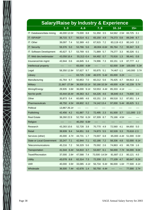

| <b>Salary/Raise by Industry &amp; Experience</b> |                |                 |                |                |                 |  |  |  |
|--------------------------------------------------|----------------|-----------------|----------------|----------------|-----------------|--|--|--|
|                                                  | 13             | 4.6             | 7.9            | 1014           | $15+$           |  |  |  |
| IT: Databases/data mining                        | 46,000 12.0#   | 73,000 8.8      | 51,350<br>3.5  | 64,562 2.5#    | 83,725<br>3.1   |  |  |  |
| <b>IT: ISP/ASP</b>                               | 36,715 5.7     | 56,514<br>6.1   | 65,150<br>4.9  | 79,273<br>0.8  | 89,248<br>8.7   |  |  |  |
| IT: Other                                        | 39,097 7.4     | 52,369<br>4.0   | 67,915<br>7.2  | 83,119 - 0.3   | 80,143<br>2.2   |  |  |  |
| <b>IT: Security</b>                              | 59,376 5.0     | 53,766<br>5.6   | 48,004 - 6.6#  | 95,764<br>7.2  | 95,947<br>5.9   |  |  |  |
| IT: Software Development                         | 45,627 5.7     | 53,769<br>6.5   | 71,889<br>5.7  | 79,277<br>3.3  | 90,326<br>0.1   |  |  |  |
| IT: Web dev./webmaster                           | 43,058 16.4    | 55,313 - 0.4    | 64,492<br>0.7  | 70,916<br>1.3  | 98,441<br>0.8   |  |  |  |
| Insurance/risk mgmt                              | 43,944 0.6     | 44,845 6.4      | 74,996 7.3     | 83,151<br>1.9  | 87,777 4.2      |  |  |  |
| Intellectual property                            | ----           | 65,000<br>4.8#  | ----<br>----   | 82,000<br>3.8# | 100,000<br>5.3# |  |  |  |
| Legal                                            | 58,350 12.8#   | 57,627 9.7      | 93,875<br>5.1  | 74,467 - 1.1   | 140,000 3.7#    |  |  |  |
| Library                                          |                | 63,725<br>2.8#  | 46,570<br>5.4# | 65,000<br>3.2# | ----            |  |  |  |
| Manufacturing                                    | 41,764 9.7     | 50,853<br>7.0   | 60,212 5.6     | 76,425<br>4.7  | 84,913<br>2.1   |  |  |  |
| Military                                         | 21,667 - 27.8# | 36,500 10.1#    | 50,166 10.3#   | 49,000<br>4.3# | 42,239<br>5.7#  |  |  |  |
| Mining/Energy                                    | 29,935 3.8#    | 36,000<br>9.1#  | 53,553 4.4#    | 85,333 4.1#    | $-----$<br>---- |  |  |  |
| Not-for-profit                                   | 43,444 18.4#   | 49,363<br>8.2   | 64,226 4.6     | 66,840 - 4.4   | 74,600<br>3.0   |  |  |  |
| Other                                            | 35,873 0.4     | 60,685<br>4.6   | 63,151<br>2.6  | 89,518<br>3.2  | 87,651<br>1.4   |  |  |  |
| Pharmaceuticals                                  | 48,750 4.5#    | 69,802<br>6.2   | 74,142 13.4    | 97,000<br>5.4# | 85,625<br>5.1   |  |  |  |
| Political                                        | 13,867 26.1#   | $-----$<br>---- | ----<br>----   | ----           | ----            |  |  |  |
| Publishing                                       | 42,456 4.2     | 61,887<br>7.2   | 72,495<br>2.3  | 81,500<br>3.7  | 111,000<br>2.3  |  |  |  |
| <b>Real Estate</b>                               | 38,260 22.9    | 52,750<br>6.2#  | 67,309<br>8.7  | 75,166<br>4.5# |                 |  |  |  |
| Religion                                         | ----           | 40,250<br>6.8#  | ----<br>----   | ----<br>----   | ----<br>----    |  |  |  |
| Research                                         | 43,283 10.6    | 52,728<br>3.8   | 70,770<br>4.9  | 72,560<br>4.1  | 84,650<br>5.0   |  |  |  |
| Retail                                           | 39,939<br>9.4  | 54,851<br>3.8   | 74,873<br>5.5  | 82,528<br>3.3  | 70,618 - 2.3    |  |  |  |
| Services (other)                                 | 45,000 4.7#    | 44,731<br>1.7   | 73,007<br>6.8  | 65,000 -4.4#   | 51,000 0.0#     |  |  |  |
| <b>State or Local Government</b>                 | 33,247 7.1     | 42,944<br>7.1   | 62,186 7.2     | 58,336 4.8     | 52,000<br>6.1#  |  |  |  |
| Telecommunications                               | 45,216 7.2     | 56,329 5.6      | 75,592 2.6     | 74,863<br>4.5  | 86,739<br>1.6   |  |  |  |
| Transportation                                   | 41,544 6.4#    | 54,810<br>3.7   | 53,007 6.1     | 56,000 7.7#    | 94,000<br>9.0#  |  |  |  |
| Travel/Recreation                                | 37,000 2.8#    | 47,588<br>7.4   | 73,500 - 14.5# | 81,687 - 2.3   | 80,121<br>4.0   |  |  |  |
| <b>Utility</b>                                   | 43,078 8.8     | 62,314 7.3      | 72,200 2.2     | 77,109<br>4.7  | 80,647<br>6.2#  |  |  |  |
| <b>VAR</b>                                       | 40,000 3.9#    | 33,085 4.1#     | 56,734 9.4#    | 96,000 1.6#    | 77,500<br>4.1#  |  |  |  |
| Wholesale                                        | 36,500 7.4#    | 42,678 1.4      | 50,750 4.4#    | ----<br>----   | 77,000 2.7#     |  |  |  |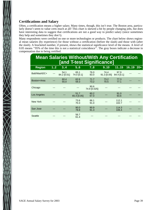## **Certifications and Salary**

Often, a certification means a higher salary. Many times, though, this isn't true. The Boston area, particularly doesn't seem to value certs much at all! This chart is skewed a bit by people changing jobs, but does have interesting data to suggest that certifications are not a good way to predict salary (since sometimes they help and sometimes they don't).

Many respondents were certified on one or more technologies or products. The chart below shows regional mean salaries (by experience) for those without a certification (before the slash) and those with (after the slash). A bracketed number, if present, shows the statistical significance level of the means. A level of 0.05 means ''95% of the time this is not a statistical coincidence''. The gray boxes indicate a decrease in compensation due to being certified.

| <b>Mean Salaries Without/With Any Certification</b><br><b>[and T-test Significance]</b> |    |                     |                     |                      |                       |                    |      |       |
|-----------------------------------------------------------------------------------------|----|---------------------|---------------------|----------------------|-----------------------|--------------------|------|-------|
| <b>Region</b>                                                                           | 12 | 34                  | 56                  | 78                   | 9.10                  | 1115               | 1619 | $20+$ |
| Balt/WashDC+                                                                            |    | 54.1<br>84.2 [0.01] | 65.1<br>74.0 [0.1]  | 76.0<br>83.0         | 74.4<br>$91.3$ [0.05] | 97.9<br>84.4 [0.1] |      |       |
| Boston+Area                                                                             |    | 60.4<br>55.0        | 62.6<br>59.3        | 71.7<br>73.2         | 73.2<br>70.5          | 77.3<br>77.1       |      |       |
| Chicago                                                                                 |    |                     |                     | 90.6<br>74.9 [0.025] |                       |                    |      |       |
| Los Angeles                                                                             |    |                     | 51.7<br>65.4 [0.05] | 80.2<br>67.0         |                       | 91.0<br>93.6       |      |       |
| New York                                                                                |    |                     | 73.6<br>70.3        | 86.1<br>91.0         |                       | 112.1<br>102.7     |      |       |
| San Jose                                                                                |    |                     | 90.0<br>78.8        | 90.9<br>91.3         |                       | 114.3<br>106.4     |      |       |
| Seattle                                                                                 |    |                     | 56.7<br>61.4        |                      |                       |                    |      |       |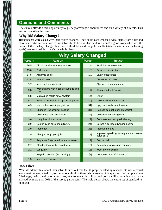# **Opinions and Comments**

The survey affords a rare opportunity to query professionals about ideas and on a variety of subjects. This section describes the results.

## **Why Did Salary Change?**

Respondents were asked why their salary changed. They could each choose several items from a list and also enter extra information. Almost two thirds believe that hard work and/or good work ethic was the cause of their salary change. Just over a third believed tangible results (stable environment, achieving goals) was responsible. Here's the whole chart:

| <b>Why Salary Changed</b> |                                                   |                |                                                             |  |  |  |
|---------------------------|---------------------------------------------------|----------------|-------------------------------------------------------------|--|--|--|
| <b>Percent</b>            | <b>Reason</b>                                     | <b>Percent</b> | <b>Reason</b>                                               |  |  |  |
| 36.5                      | Did not receive at least 4% raise                 | 1.4            | Publicized achievements                                     |  |  |  |
| 15.8                      | Performance                                       | 1.2            | Earned a certification                                      |  |  |  |
| 14.8                      | Achieved goals                                    | 1.1            | Salary freeze lifted                                        |  |  |  |
| 12.4                      | Annual raise                                      | 1.1            | Departure of others                                         |  |  |  |
| 9.7                       | Increased responsibilities                        | 1.1            | Changed to management                                       |  |  |  |
| 9.3                       | Worked hard with a positive attitude and<br>ethic | 1.0            | Threatened to leave/quit                                    |  |  |  |
| 6.8                       | Maintained stable netwk/system                    | 1.0            | Other                                                       |  |  |  |
| 5.1                       | Became involved in a high-profile project         | [40]           | Leveraged a salary survey                                   |  |  |  |
| 4.3                       | More active planning/mgmt role                    | [34]           | Upgraded skills via education                               |  |  |  |
| 4.1                       | Changed (reclassified) position                   | $[31]$         | Raise to combat other job offer(s)                          |  |  |  |
| 3.2                       | Client/customer satisfaction                      | $[29]$         | Collective bargaining/union                                 |  |  |  |
| 3.0                       | Long time without raise                           | [29]           | Corporate success/profit sharing                            |  |  |  |
| 3.0                       | Cost of living adjustment/COLA                    | [24]           | Earned a college/advanced degree                            |  |  |  |
| 2.9                       | Promotion                                         | $[23]$         | Probation ended                                             |  |  |  |
| 2.9                       | Changed employers/job                             | $[21]$         | Improved speaking, writing, and/or presen-<br>tation skills |  |  |  |
| 2.7                       | Requested/negotiated salary increase              | $[19]$         | Contractual                                                 |  |  |  |
| 2.7                       | Standard/across-the-board raise                   | $[15]$         | Relocation within same company                              |  |  |  |
| 2.1                       | Longevity                                         | $[13]$         | Went into consulting                                        |  |  |  |
| 1.7                       | Stayed in position (vs. 'quitting')               | [8]            | Corporate buyout/takeover                                   |  |  |  |
| 1.5                       | Increased hours/overtime                          |                |                                                             |  |  |  |

## **Job Likes**

 $\sum_{\lambda}$ 

What do admins like about their jobs? It turns out that the #1 property cited by respondents was a casual work environment, cited by just under one third of those who answered this question. Second place was 'challenge,' with quality of coworkers, environment flexibility, and job stability rounding out those marked by more than 20% of the survey participants. The table below shows the entire set of standard responses: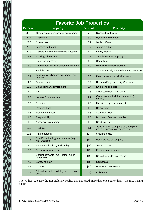

| <b>Favorite Job Properties</b> |                                                         |                |                                                                                |  |  |  |
|--------------------------------|---------------------------------------------------------|----------------|--------------------------------------------------------------------------------|--|--|--|
| <b>Percent</b>                 | <b>Property</b>                                         | <b>Percent</b> | <b>Property</b>                                                                |  |  |  |
| 35.5                           | Casual dress, atmosphere, environment                   | 7.2            | Standard workweek                                                              |  |  |  |
| 29.4                           | Challenge                                               | 5.9            | Dynamic environment                                                            |  |  |  |
| 23.5                           | Co-workers                                              | 5.7            | <b>Walled offices</b>                                                          |  |  |  |
| 20.9                           | Learning on the job                                     | 5.7            | Telecommuting                                                                  |  |  |  |
| 20.3                           | Flexible working environment, freedom                   | 4.4            | Family friendly                                                                |  |  |  |
| 19.3                           | Stability, job security                                 | 4.2            | Vacation/sabbatical policy                                                     |  |  |  |
| 16.9                           | Salary/compensation                                     | 4.2            | Comp time                                                                      |  |  |  |
| 16.8                           | Employment in current economic climate                  | 4.0            | Pension/retirement program                                                     |  |  |  |
| 16.6                           | Flexible hours                                          | 4.0            | Subsidy for cell, home telecomm, hardware                                      |  |  |  |
| 15.9                           | Technology, advanced equipment, fast<br>internet        | 3.3            | Free or cheap food, drink at work                                              |  |  |  |
| 14.5                           | Job satisfaction                                        | 3.2            | No on-call/pager/overnight/weekend                                             |  |  |  |
| 12.9                           | Small company environment                               | 2.4            | <b>Enlightened policies</b>                                                    |  |  |  |
| 12.9                           | Fun                                                     | 2.3            | Stock purchase, grant plans                                                    |  |  |  |
| 12.5                           | Location/commute time                                   | 2.1            | Gym/pool/health club membership (or<br>on-site)                                |  |  |  |
| 12.2                           | <b>Benefits</b>                                         | 2.0            | Facilities, phys. environment                                                  |  |  |  |
| 12.0                           | Respect, trust                                          | 1.8            | No overtime                                                                    |  |  |  |
| 11.8                           | Management/boss                                         | 1.5            | Social activities                                                              |  |  |  |
| 11.6                           | Responsibility                                          | 1.5            | Discounts, free merchandise                                                    |  |  |  |
| 11.6                           | Academic environment                                    | 1.2            | Short workweek                                                                 |  |  |  |
| 10.3                           | Projects                                                | 1.1            | Transportation (company car, free park-<br>ing, bus subsidy, carpooling, etc.) |  |  |  |
| 10.1                           | Future potential                                        | $[37]$         | Smoking policy                                                                 |  |  |  |
| 9.6                            | Specific technology that you use (e.g.,<br>MS, Opensrc) | $[34]$         | Dogs allowed at company                                                        |  |  |  |
| 9.6                            | Self-determination (of all kinds)                       | $[29]$         | Travel, cruises                                                                |  |  |  |
| 8.9                            | Sense of achievement                                    | $[23]$         | Movies, entertainment                                                          |  |  |  |
| 8.7                            | Special hardware (e.g., laptop, super-<br>computer)     | $[19]$         | Special rewards (e.g., cruises)                                                |  |  |  |
| 7.9                            | Variety of tasks                                        | $[19]$         | Sabbaticals                                                                    |  |  |  |
| 7.8                            | Culture                                                 | $[17]$         | Green card assistance                                                          |  |  |  |
| 7.2                            | Education, tuition, training, incl. confer-<br>ences    | [9]            | Child care                                                                     |  |  |  |

The 'Other' category did not yield any replies that appeared more than once other than, ''It's nice having a job.''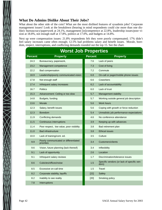## **What Do Admins Dislike About Their Jobs?**

What about the other side of the coin? What are the most disliked features of sysadmin jobs? Corporate management issues! Look at the breakdown (bearing in mind respondents could cite more than one dislike): bureaucracy/paperwork at 24.1%, management [in]competence at 22.8%, leadership issues/poor vision at 18.8%, not enough staff at 17.8%, politics at 17.0%, and budgets at 14.8%.

Next up were compensation issues: 21.8% respondents felt they were poorly compensated; 17% didn't feel salary increases came often enough; 12.5% had problems salary and benefit issues. Morale, boredom, respect, interruptions, and conflicting demands rounded out the top 15. See the chart.

| <b>Worst Job Properties</b> |                                                     |                |                                                     |  |  |  |
|-----------------------------|-----------------------------------------------------|----------------|-----------------------------------------------------|--|--|--|
| <b>Percent</b>              | <b>Property</b>                                     | <b>Percent</b> | <b>Property</b>                                     |  |  |  |
| 24.3                        | Bureaucracy, paperwork,                             | 7.6            | Lack of peers                                       |  |  |  |
| 23.2                        | Management competence                               | 7.3            | Cost of living                                      |  |  |  |
| 22.2                        | <b>Bad compensation</b>                             | 7.2            | Commute                                             |  |  |  |
| 18.9                        | Leadership/poorly communicated vision               | 6.8            | On-call or pager/mobile phone issues                |  |  |  |
| 17.8                        | Not enough staff                                    | 6.6            | Coworkers                                           |  |  |  |
| 17.4                        | Infrequent salary increases                         | 6.2            | Lack of accountability                              |  |  |  |
| 16.7                        | <b>Politics</b>                                     | 6.0            | Lack of trust                                       |  |  |  |
| 15.3                        | Advancement: Ceiling or too slow                    | 5.7            | Management stability                                |  |  |  |
| 14.8                        | Budgets, funding                                    | 5.7            | Working outside general job description             |  |  |  |
| 13.6                        | Morale                                              | 5.6            | <b>Work hours</b>                                   |  |  |  |
| 12.3                        | Salary, benefit issues                              | 5.6            | Coping with growth or force reduction               |  |  |  |
| 12.3                        | <b>Boredom</b>                                      | 5.4            | Unrealistic job performance expectations            |  |  |  |
| 11.9                        | Conflicting demands                                 | 4.6            | No conference attendance                            |  |  |  |
| 11.5                        | Continuous interruptions                            | 3.9            | Keeping up with advances                            |  |  |  |
| 11.4                        | Poor respect, low value, poor visibility            | 3.8            | Bad retirement plan                                 |  |  |  |
| 11.0                        | <b>Bad infrastructure</b>                           | 3.8            | <b>Ethical issues</b>                               |  |  |  |
| 10.0                        | Lack of training/cont. ed.                          | 3.5            | Culture                                             |  |  |  |
| 9.9                         | Poorly communicated or differentiated<br>priorities | 3.4            | Customers/clients                                   |  |  |  |
| 9.6                         | Vision, future planning (lack thereof)              | 3.4            | Inflexibility                                       |  |  |  |
| 9.1                         | Lack of opportunity                                 | 2.6            | Location                                            |  |  |  |
| 9.1                         | Infrequent salary reviews                           | 1.7            | Discrimination/tolerance issues                     |  |  |  |
| 8.6                         | Cubicles/offices/noise                              | 1.5            | Specific vendors (or lack of specific ven-<br>dors) |  |  |  |
| 8.5                         | Excessive on-call time                              | 1.5            | Travel                                              |  |  |  |
| 8.2                         | Corporate stability, layoffs                        | $[22]$         | Safety                                              |  |  |  |
| 8.2                         | Inability to see reality                            | [20]           | Smoking policy                                      |  |  |  |
| 7.8                         | Interruptions                                       |                |                                                     |  |  |  |

 $\bigtimes$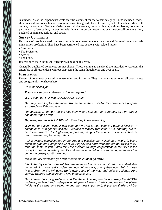Just under 2% of the respondents wrote an extra comment for the 'other' category. These included leadership issues, dress codes, human resources, 'executive greed,' lack of time off, lack of benefits, 'Microsoft culture,' outsourcing, Sarbanes-Oxley, slow reimbursement, union problems, training issues, policies on pets at work, 'everything,' interaction with human resources, nepotism, overtime/on-call compensation, outdated equipment, parking, and stress.

### **Survey Comments**

Hundreds of people entered comments in reply to a question about the state and future of the system administration profession. They have been partitioned into sections with related topics:

- Frustration
- The Profession
- Advice

 $\sum_{i=1}^{n}$ 

• The Future

Interestingly, the 'Optimism' category was missing this year.

Generally, duplicated comments are not shown. Those comments displayed are intended to represent the ensemble of all respondents without displaying the same thought over and over again.

### **Frustration**

Dozens of comments centered on outsourcing and its horror. They are the same as found all over the net and are generally not shown here.

*It's a thankless job.*

*Future not so bright, shades no longer required.*

*We're doomed, I tell you. DOOOOOOMED!!!!!*

*You may need to place the Indian Rupee above the US Dollar for convenience purposes based on offshoring rate.*

*I'm depressed. I'm now making less than when I first started years ago, as if my career has been wiped away.*

*Too many people with MCSE's who think they know everything*

*Working for security vendor has opened my eyes to how poor the general level of IT competence is in general society. Everyone is familiar with idiot PHBs, and they are indeed everywhere − the frightening/depressing thing is the number of clueless cheese*brains are earning twice my salary.

*I think system administrators in general, and possibly the IT field as a whole, is being* taken for granted. Companies want your loyalty and hard work and are not willing to ex*tend the same to you. I also think the medium to large corporations in the US are too* highly focused on quarterly results and the upper echelon of corp management has be*come too greedy for it's own good.*

*Make the MS machines go away. Please make them go away.*

*I think that Sys Admin jobs will become more and more commoditized. I also think that newer admins don't really understand how things work, or why they work. This is mostly a problem in the Windows world where lots of the nuts and bolts are hidden from view by wizards and Microsoft's love of obfuscation.*

Sys Admins (including Network and Database Admins) are far and away the -MOST*under-appreciated and underpaid employees of every single company on the planet (while at the same time being among the most important!). If you are thinking of be-*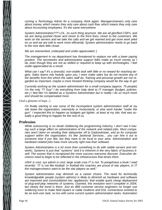*coming a Technology Admin for a company, think again. Managers/owners only care about money, which means they only care about cash flow, which means they only care about Accounting employees. It's the same everywhere.*

*System Administration??? LOL, no such thing anymore. We are all glorified CSR's, and we are being pushed closer and closer to the front lines, closer to the customers. We* work on the servers and we take the calls and we get reamed and get more work piled *on us and we are told to work more efficiently. System administration needs to go back to the nice dark little closet.*

*We are overworked, underpaid and under-appreciated :)* 

*The management in my department has threatened to replace me with a lower paying position. The secretaries and administrative support folks make as much money as I do, even though they are not as skilled or required to keep up with technologies. I feel under-appreciated as a result.*

*What can I say? It's a stressful, non-visible task with little or no reward for reaching targets. Sales teams rely heavily upon you, I even make sales but do not receive any of the benefits from this which the sales staff do. Training and personal growth are not regarded as important, maybe a more forward thinking company would be the way to go!*

*Currently working as the system administrator for a small company (approx. 75 people) I'm the only "IT Guy" I do everything from help desk to IT manager (budget, policies, etc.) I feel like I'm labeled as a Systems Administrator but in reality I do so much more and should be compensated more.*

[And a glimmer of hope...]

*I'm finally starting to see some of the incompetent system administration staff at my* site leave the organization, voluntarily or involuntarily, or else work harder "under the *gun". I expected this to happen as budgets got tighter; at least at my site, that was actually a good thing to happen for the rest of us.*

#### **Profession**

While outsourcing is no doubt clobbering the programming industry, I don't see it having such a large effect on administration of the network and related jobs. Most compa*nies aren't keen on sending their datacenter off to Gadzookistan, and as for computer* support within the organization, it's like Janitorial Services... you can hire it out to *someone else if you like, but they have to be local to your area. Administration and hardware-related jobs have more security right now than software.*

*System Administration is a lot more than something to do with stable servers and net*works. Systems is just that "systems" and it is inherent in the very fabric of business it*self. The sooner that is recognized the more success everyone discover. Executive decisions need to begin to be reflected in the infrastructure that drives them.* 

*UNIX is cool, sys admin is cool, large scale corp IT is not. To paraphrase a book I read recently: ''IT is not like football. In football the coaches are proud of star players; in IT the managers/execs want to be the star players as well.''*

*System administration may diminish as a career choice. The need for technically knowledgeable people (system admins) is likely to diminish as hardware and software are improved and commoditized into 'appliances' that enable quick cheap deployment* of plug-and-play networks of systems. Granted, this evolution won't complete in 2004, *but clear ly the trend is there. Just as IBM customer service engineers no longer use solder ing irons to make field repairs or cable modems and DSL connections evolved to be an end user task, so too with some current system administration tasks. Automation*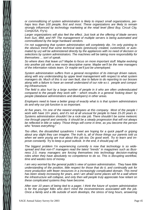*or commoditizing of system administration is likely to impact small organizations, perhaps less than 100 people, first and most. These organizations are likely to remain strongly influenced by technology marketing at the retail level (Best Buy, Circuit City, CompUSA, Fry's).*

Larger organizations will also feel the effect. Just look at the offering of blade servers *from Sun, IBM, and HP. The management of multiple servers is being automated and commoditized by the large hardware vendors.*

*I'm not suggesting that system administration will completely die, I'm only pointing to the obvious trend that some technical tasks (previously created, customized, or automated by us) will be administered directly by the appliances with no need of decision or selections by system administrators. The machines will be taking more responsibility for themselves ... sort of speak.*

*So where does that leave us? Maybe to focus on more important stuff. Maybe evolving into another job with a new more descriptive name. Maybe we'll be the new managers of the infor mation robots team. Or maybe we'll just be unemployed.*

*System administration suffers from a general recognition of its interrupt driven nature, along with any understanding by upper level management with respect to what system managers do. Much of this is our own fault, due to failure to do reporting to our bosses along with a failure to have an overall understand of our role w.r.t. people and computing infrastr ucture.*

*The field is also hurt by a large number of people in it who are often undereducated compared to the people they work with – which results in a general 'looking down' by people (database administrators and developers) in other areas.*

*Employers need to have a better grasp of exactly what is is that system administrators do and why our job function is so important.*

*At five years, I'm one of the newest employees at this company. Most of the people I work with have 10+ years, and it's not at all unusual for people to have 15-20 years in. Systems administration shouldn't be a rock-star job. There shouldn't be some meteoric rise through payroll and seniority. It should be a steady progression that will not always be reflected in title or salary. Those things will come in time, as you become the person who ''knows everything.''*

*Too often, the dissatisfied sysadmins I meet are hoping for a quick payoff or griping about any slight they can imagine. The truth is, all of those things our parents told us* when we were young are true about this job too. Do good work. Try to learn and im*prove constantly. Try to keep a good outlook. In the end, it should pay off.*

The biggest problem I'm experiencing currently is now that technology is so wide*spread and that non-IT managers read the latest ''trends'' in magazines such as Business 2.0, many managers are forcing themselves into technology decision-making* roles when they have absolutely no competence to do so. This is disrupting workflow, *time and wastes tons of money.*

*I am very worried by the general public's view of system administration. They have little understanding of the position, little respect for those that do it, and continually ask for more production with fewer resources in a increasingly complicated domain. This trend has been slowly increasing for years, and I am afraid some places will hit a wall where the infrastr ucture will collapse, and only then will people truly appreciate how reliant on these complicated systems they have become.*

*After over 10 years of being tied to a pager, I think the future of system administration is for the younger folks who don't mind the inconveniences associated with the job. Once a family and a life outside of work develops, the stress of long hours, answering*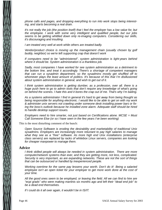*phone calls and pages, and dropping everything to run into work stops being interesting, and starts becoming a real drain.*

*It's not really the job (the position itself) that I feel the employer has a low value for, but the employee. I work with some very intelligent and qualified people, but our jobs* seems to be getting whittled down only re-imaging computers. Considering our skills, *it's discouraging and insulting.*

*I am treated very well at work while others are treated badly.* 

*Vendor/product choice is moving up the management chain (usually chosen by golf buddy, neighbor) so we're left supporting crap that doesn't work* 

*If computers need to be ''administered'', system administration is light-years behind where it should be. System administration is a thankless job.*

*Sadly, most companies I have worked for see system administration as a detriment to the bottom line, and treat it accordingly. There's a shor tage of competent managers that can run a sysadmin department, so the sysadmins mostly get shuffled off to whomever plays the least amount of politics. It's because of this that I'm disillusioned about system administration in general, and wish to get out of it.*

*I think system administration is getting dumber, as a profession, over all. there is a huge push here to go to admin tools that don't require any knowledge of what's going on behind the scenes. I hate this and it bores the crap out of me. That's why I'm bailing.*

*As a systems administrator I find in general it's hard to get away from being thought as being responsible for anything electronic. I would like to be able to get on with my work & administer unix servers not crawling under someone desk installing power bars or fixing the boss's outlook because he installed zone alarm. Adequate staff should be hired to handle desktop support issues.*

*Employers need to hire smarter, not just based on Certifications alone. MCSE = Must Call Someone Else (or so I have seen in the few years I've been working)* 

This is the most disturbing comment of the bunch:

*Open Source Software is eroding the desirability and marketability of traditional Unix sysadmins. Employers are increasingly more reluctant to pay high salaries to manage what they see as a "free" software. As more high end Unix installations (enterprise class servers) are replaced by racks of whitebox Linux servers, companies are looking for cheaper manpower to manage them.*

#### **Advice**

*I think skilled people will always be needed in system administration. There are more computer/network systems than ever, and they are getting more, not less, complicated. Security is very important, as are expanding networks. These are not the sort of things* that can be outsourced or handled by inexperienced people.

*Working overtime for the same pay lessens your worth. Don't do it! Being a salaried employee isn't an open ticket for your employer to get more work done at the cost of your time.*

*All the good ones seem to be employed, or leaving the field. All we can find to hire are ''ecpi grads'' who were making martinis six months ago and left their ''dead end job'' to be a dead end themselves.*

*If I could do it all over again, it wouldn't be in IS/IT.*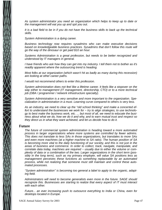*As system administrator you need an organization which helps to keep up to date or the management will eat you up and spit you out.*

*It is a bad field to be in if you do not have the business skills to back up the technical skills.*

*System Administration is a dying career.*

*Business technology now requires sysadmins who can make executive decisions based on knowledgeable business practices. Sysadmins that don't follow this route will go the way of the dinosaur or get paid \$10 an hour.*

*Systems Administration is a great profession, but needs to be better recognized and understood by IT managers in general.*

*I have friends who ask how they can get into my industry. I tell them not to bother as it's readily apparent where the outsourcing trend is heading.*

*Most folks at our organization (which wasn't hit as badly as many during this recession) are looking at other career paths.*

*I would not recommend others to enter this profession.*

*System administration does not feel like a lifetime career. It feels like a stopover on the way either to management (IT management, directorship, CTO) or to a more technical job (DBA / programmer / network infrastructure specialty).* 

System Administration is a very sensitive and more important to the organization. Spe*cialization in administration in a must. Learning curve compared to others is very less.* 

As an industry, we need to clear up the "old school thinking" and make a concerted ef*fort to understand the businesses we work for – try to align strategies, to use technolo*gy to best make the business work, etc. ... but most of all, we need to educate the busi*ness about what we do, how we do it and why, and to earn mutual trust and respect so they direct us in what they want achieved, and let us decide how to do it.*

#### **Future**

*The future of commercial system administration is heading toward a more automated process in larger organizations where more systems are controlled by fewer admins. This does not translate to less SAs in those organizations, but translates to more SAs and even more machines (at a higher machine to SA ratio). The human position of SA is becoming more vital to the daily functioning of our society, and this is not just in the areas of business and commerce. In order to collect, track, navigate, manipulate, and correlate data today, machines are required − usually due to either the volume or com*plexity of data or a combination of the two. Larger organizations in the short term (possibly in the long term), such as my primary employer, will value SA positions less as *management perceives these functions as something replaceable by an automated process, while not realizing that someone must still maintain and control these automated processes.*

*''System administration'' is becoming too general a label to apply to the organic, adapting field.*

*Administrators will need to become generalists even more in the future. SAGE should recognize this. Businesses are starting to realize that every aspect of IT must interact with each other.*

*Future... an ever increasing push to outsource everything to India or China, even for desktops located in Europe.*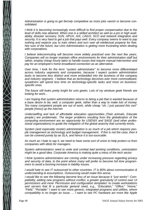*Administration is going to get fiercely competitive as more jobs vanish or become consolidated.*

*I think it is becoming increasingly more difficult to find proper compensation due to the level of skills now attained. When one is a skilled architect as well as a pro in high avail*ability, disaster recovery, SUN, HPUX, AIX, LINUX, SCO and network integration and security. It is very hard to get a job that pays well. Every company seems to want to pay *nothing and expects you to train others and turn over all intellectual property for free. Not sure of the future, but Unix Administration is getting more frustrating when dealing with corporations.*

*I believe telecommuting will become more widely practiced over the next few years. Companies will no longer maintain office environments for their administration staff but rather, employ cheap hourly labor to handle issues that require manual intervention and pay for an employee's home broadband connection as an alternative.*

*Over time, I look for the term ''system administrator'' to become more differentiated across industry segments and companies, because I expect system administration tasks to become less distinct and more embedded into the business of the company and industry segment. I believe that as technology becomes ever more commoditized, sysadmins will spend less time on technology-specific tasks and more on businessspecific ones.*

*The future still looks pretty bright for unix geeks. Lots of my windoze geek friends are looking for work...* 

*I am hoping that system administration returns to being a job that is wanted because of a base desire to be, well, a computer geek, rather than a way to make lots of money.* Too many competent people are out of work, while cheap "oh, I just passed this cert" *people [mess] up the internet.*

*Understaffing and lack of affordable education opportunities (Train animals. Educate people.) are problematic. The larger problems resulting from the globalization of the computing environment are an opportunity for USENIX and SAGE (and other professional organizations) to guide the mitigation of the global anarchy that currently exists.*

*System (and especially cluster) administration is as much of a job which requires people management as technology and budget management. If this is not the case, then it can be covered purely by an SLA, and hence it is out-sourcable.*

*As much as I hate to say it, we need to have some sort of union to help protect us from companies with idiots for managers.*

*System administrators need to unite and combat bad working conditions, unionization might be a good idea. Corporate America is making quite a mess of the tech sector.*

*I think systems administrators are coming under increasing pressure regarding privacy and security of data, to the point where many will prefer to become full time programmers to avoid a looming increase in liability issues.*

*I would hate to see IT outsourced to other countries. IT is 80% about communication & understanding & assumptions. Outsourcing would make this worse.*

*I* would like to see the following become less of an issue because it "just works": Compatibility, adding new programs without conflict, a greater granularity of control over UI *permissions and more 'Permission and configuration templates' to create workstations and servers that fit a particular general need, e.g., ''Education,'' ''Office,' ' ''Home,' ' ''Field,'' ''Portable.' ' I want to see more generic, integrated programs and utilities, where compatibility is no longer an issue. ... I want to see PC hardware act more like Apple*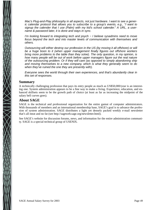*Mac's Plug-and-Play philosophy in all aspects, not just hardware. I want to see a generic calendar protocol that allows you to subscribe to a group's events, e.g., ''I want to signup the calender that I use (Palm) with my kid's school calender.' ' A URL, a username & password later, it is done and stays in sync.*

*I'm looking forward to integrating tech and psych − I believe sysadmins need to move focus beyond the tech and into master levels of communication with themselves and others.*

*Outsourcing will either destroy our profession in the US (by moving it all offshore) or will* be a huge boon to it (when upper management finally figures out offshore workers *br ing more problems to the table than they solve). The only question, in my opinion, is how many people will be out of work before upper managers figure out the real nature of the outsourcing problem. Or if they will care (as opposed to simply abandoning ship and moving themselves to a new company, which is what they generally seem to do when they've ruined the one they are presently with).*

*Everyone sees the world through their own experiences, and that's abundantly clear in this set of responses.*

#### **Summary**

A technically challenging profession that pays its entry people as much as US\$50,000/year is an interesting one. System administration appears to be a fine way to make a living. Experience, education, and enhanced skillsets seem to be the growth path of choice (at least as far as increasing the midpoint of the salary bell curves goes).

### **About SAGE**

SAGE is the technical and professional organization for the entire gamut of computer administrators. With thousands of members and an international membership base, SAGE's goal is to advance the profession of system administration. SAGE distributes a light yet densely packed weekly e-mail newsletter that's all meat and no fat (see http://sageweb.sage.org/newsletter.html).

See SAGE's website for discussion forums, news, and information for the entire administration community. SAGE is a special technical group of USENIX.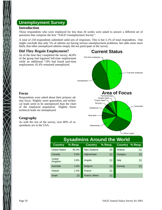# **Unemployment Survey**

### **Introduction**

Those respondents who were employed for less than 26 weeks were asked to answer a different set of questions that comprise the first ''SAGE Unemployment Survey''.

A total of 218 respondents submitted valid sets of responses. This is but 5.1% of total respondents. One might conclude that only 5% of admins are having serious unemployment problems, but odds seem more likely that other unemployed admins simply did not participate in the survey.

### **Did They Regain Employment?**

As of the time they completed the survey, 46.8% of the group had regained full-time employment while an additional 7.8% had found part-time employment; 45.4% remained unemployed.

# **Current Status**



| <b>Sysadmins Around the World</b> |           |                |         |                |         |  |  |
|-----------------------------------|-----------|----------------|---------|----------------|---------|--|--|
| <b>Country</b>                    | $%$ Resp. | <b>Country</b> | % Resp. | <b>Country</b> | % Resp. |  |  |
| <b>United States</b>              | 82.4%     | New Zealand    | $[2]$   | Greece         | $[1]$   |  |  |
| Canada                            | 5.6%      | Afghanistan    | $[1]$   | Hungary        | $[1]$   |  |  |
| United<br>Kingdom                 | 2.8%      | Angola         | $[1]$   | Italy          | $[1]$   |  |  |
| Australia                         | 1.9%      | <b>Belgium</b> | $[1]$   | Norway         | $[1]$   |  |  |
| Ireland                           | 1.4%      | France         | $[1]$   |                |         |  |  |
| Israel                            | $[2]$     | France, Metro  | $[1]$   |                |         |  |  |

### **Focus**

Respondents were asked about their primary admin focus. Slightly more generalists and technical leads seem to be unemployed than the chart of the employed population. Slightly fewer technical leads are unemployed.

## **Geography**

As with the rest of the survey, over 80% of respondents are in the USA.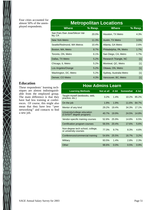Four cities accounted for almost 50% of the unemployed respondents.

## **Metropolitan Locations Where % Resp. Where % Resp.** San Fran./San Jose/Silicon Val-<br>ley, CA 20.0% Houston, TX Metro 4.3% New York Metro 11.3% Austin, TX Metro 3.5% Seattle/Redmond, WA Metros 10.4% Atlanta, GA Metro 2.6% Boston, MA, Metro 8.7% Philadelphia, PA, Metro 1.7% Toronto, ON, Metro 6.1% 6.1% San Diego, CA, Metro 1.7% Dallas, TX Metro 6.2% Research Triangle, NC [1] Chicago, IL Metro 6.2% Montreal, QC, Metro [1] Los Angeles/Orange **5.2%** Ottawa, ON, Metro [1] Washington, DC, Metro **5.2%** Sydney, Australia Metro [1]

### **Education**

 $\bigtimes$ 

These respondents' learning techniques are almost indistinguishable from the employed group. The main difference is that they have had less training at conferences. Of course, this might also mean that they have less "peer networking'' and contacts to find a new job.

## **How Admins Learn**

Denver, CO Metro **1.3%** Vancouver, BC, Metro [1]

| <b>Learning Methods</b>                                   | Not at all | A bit   | <b>Somewhat</b> | A lot |
|-----------------------------------------------------------|------------|---------|-----------------|-------|
| Taught myself (textbooks, web,<br>practice, etc.)         | 3.2%       | 1.4%    | 10.2%           | 85.2% |
| On the job                                                | 1.9%       | 1.9%    | 11.6%           | 84.7% |
| Mentor of any kind                                        | 29.2%      | 19.4%   | 34.3%           | 17.1% |
| University/college education<br>(CS/IS/IT degree program) | 40.7%      | 19.9%   | 24.5%           | 14.8% |
| Vendor-specific training courses                          | 52.8%      | 25.9%   | 14.8%           | 6.5%  |
| Certification program courses                             | 56.5%      | 20.4%   | 17.6%           | 5.6%  |
| Non-degree tech school, college,<br>or university courses | 77.3%      | 9.7%    | 8.3%            | 4.6%  |
| Conferences/commercial training                           | 54.6%      | 25.5%   | 16.7%           | 3.2%  |
| Military                                                  | 93.5%      | 1.4%    | 2.8%            | 2.3%  |
| Other                                                     | 98.6%      | $0.0\%$ | 0.5%            | 0.9%  |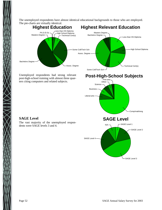The unemployed respondents have almost identical educational backgrounds to those who are employed. The pie-charts are virtually identical.



Unemployed respondents had strong relevant post-high-school training with almost three quarters citing computers and related subjects.



## **SAGE Level**

The vast majority of the unemployed respondents were SAGE levels 3 and 4.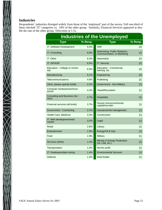## **Industries**

XXIIXX

Respondents' industries diverged widely from those of the 'employed' part of the survey. Full one-third of them checked 'IT' categories vs. 10% of the other group. Similarly, Financial Services appeared at double the rate of the other group; Telecomm at 1.5x.

| <b>Industries of the Unemployed</b>          |         |                                                               |                   |  |  |  |  |
|----------------------------------------------|---------|---------------------------------------------------------------|-------------------|--|--|--|--|
| <b>Type</b>                                  | % Resp. | Type                                                          | $%$ Resp.         |  |  |  |  |
| IT: Software Development                     | 9.3%    | <b>VAR</b>                                                    | $\lceil 2 \rceil$ |  |  |  |  |
| IT: Consulting                               | 8.8%    | Advertising, Public Relations,<br>Communication, or Marketing | [2]               |  |  |  |  |
| IT: Other                                    | 8.3%    | Automotive                                                    | [2]               |  |  |  |  |
| <b>IT: ISP/ASP</b>                           | 6.5%    | <b>IT: Security</b>                                           | [2]               |  |  |  |  |
| Education - College or Univer-<br>sity       | 6.5%    | Education - Commercial,<br>training, etc.                     | $\lceil 2 \rceil$ |  |  |  |  |
| Manufacturing                                | 5.1%    | Engineering                                                   | [2]               |  |  |  |  |
| Telecommunications                           | 4.6%    | Publishing                                                    | [2]               |  |  |  |  |
| Other, please specify briefly                | 4.2%    | Government - Non-Military                                     | $[1]$             |  |  |  |  |
| Computer hardware/semicon-<br>ductor         | 4.2%    | Travel/Recreation                                             | $[1]$             |  |  |  |  |
| <b>Consulting and Business Ser-</b><br>vices | 3.7%    | Hospitality                                                   | [1]               |  |  |  |  |
| Financial services (all kinds)               | 3.7%    | Human resources/human<br>capital/recruiter                    | $[1]$             |  |  |  |  |
| Government - Contracting                     | 3.7%    | Insurance/risk management                                     | $[1]$             |  |  |  |  |
| Health Care, Medicine                        | 3.2%    | Construction                                                  | $[1]$             |  |  |  |  |
| IT: Web development/web-<br>master           | 3.2%    | Legal                                                         | $[1]$             |  |  |  |  |
| Retail                                       | 2.8%    | Library                                                       | $[1]$             |  |  |  |  |
| Entertainment                                | 1.9%    | Energy/Oil & Gas                                              | $[1]$             |  |  |  |  |
| Food                                         | 1.9%    | Military                                                      | [1]               |  |  |  |  |
| Services (other)                             | 1.4%    | Mining or Energy Production<br>(oil, coal, etc.)              | $[1]$             |  |  |  |  |
| Transportation                               | 1.4%    | Not-for-profit                                                | [1]               |  |  |  |  |
| IT: Databases/data mining                    | 1.4%    | <b>Environmental Services</b>                                 | $[1]$             |  |  |  |  |
| Defense                                      | 1.4%    | <b>Real Estate</b>                                            | [1]               |  |  |  |  |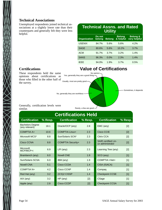## **Technical Associations**

Unemployed respondents joined technical associations at a slightly lower rate than their counterparts and generally felt they were less helpful.

| <b>Technical Assns. and Rated</b><br><b>Utility</b>                                                                           |       |      |       |      |  |  |  |
|-------------------------------------------------------------------------------------------------------------------------------|-------|------|-------|------|--|--|--|
| <b>Belong &amp;</b><br><b>Belong</b><br>Do not<br>very helpful<br><b>Organization</b><br>& helpful<br><b>Belong</b><br>belong |       |      |       |      |  |  |  |
| <b>USENIX</b>                                                                                                                 | 84.7% | 5.6% | 5.6%  | 4.2% |  |  |  |
| <b>SAGE</b>                                                                                                                   | 80.6% | 5.6% | 10.2% | 3.7% |  |  |  |
| <b>ACM</b>                                                                                                                    | 91.7% | 3.7% | 3.2%  | 1.4% |  |  |  |
| <b>SANS</b>                                                                                                                   | 96.3% | 0.0% | 2.3%  | 1.4% |  |  |  |
| IEEE                                                                                                                          | 94.0% | 1.9% | 3.7%  | 0.5% |  |  |  |

## **Certifications**

These respondents held the same opinions about certifications as those who filled in the other half of the survey.

**Value of Certifications**



#### Generally, certification levels were similar.

Rarely, a few are good

| <b>Certifications Held</b>                |         |                          |         |                                                |         |  |  |
|-------------------------------------------|---------|--------------------------|---------|------------------------------------------------|---------|--|--|
| <b>Certification</b>                      | % Resp. | <b>Certification</b>     | % Resp. | <b>Certification</b>                           | % Resp. |  |  |
| <b>Bachelors Degree</b><br>(any relevant) | 18.1    | Oracle/OCP (any)         | 2.8     | EMC (any)                                      | $[2]$   |  |  |
| <b>COMPTIA A+</b>                         | 10.6    | <b>COMPTIA Linux+</b>    | 2.3     | Cisco CCIE                                     | $[2]$   |  |  |
| Microsoft MCS*                            | 8.8     | Sun/Solaris SCN*         | 2.3     | Citrix CCA                                     | $[2]$   |  |  |
| Cisco CCNA                                | 8.8     | <b>COMPTIA Security+</b> | 2.3     | <b>SAIR certified Lin-</b><br>ux administrator | $[2]$   |  |  |
| Microsoft<br>MCP/MCP+i                    | 6.9     | $LPI$ (any)              | 2.3     | Learning Tree (any)                            | [2]     |  |  |
| Brainbench (any)                          | 6.0     | <b>Novell CNE</b>        | 1.9     | SCO (any)                                      | $[1]$   |  |  |
| Sun/Solaris SCSA                          | 6.0     | IBM (any)                | 1.9     | <b>COMPTIA I-Net+</b>                          | $[1]$   |  |  |
| <b>Novell CNA</b>                         | 5.1     | Cisco CCDA               | 1.4     | CISA (ISACA)                                   | $[1]$   |  |  |
| <b>COMPTIA N+</b>                         | 4.2     | Cisco CCNP               | 1.4     | Compaq                                         | $[1]$   |  |  |
| Red Hat (any)                             | 3.2     | (ICS)2 CISSP             | 1.4     | <b>Checkpoint CCSE</b>                         | [1]     |  |  |
| $AIX$ (any)                               | 3.2     | $HP$ (any)               | $[2]$   | CSage                                          | $[1]$   |  |  |
| Apple (any)                               | 2.8     | Cisco CCDP               | $[2]$   | <b>Checkpoint CCSA</b>                         | $[1]$   |  |  |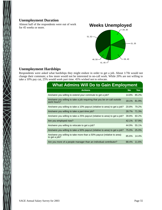### **Unemployment Duration**

Almost half of the respondents were out of work for 45 weeks or more.



## **Unemployment Hardships**

Respondents were asked what hardships they might endure in order to get a job. About 1/7th would not change their commute; a few more would not be interested in on-call work. While 20% are not willing to take a 10% pay cut, 25% would work part time. 45% wished not to relocate.

| <b>What Admins Will Do to Gain Employment</b>                                           |           |       |  |  |  |  |
|-----------------------------------------------------------------------------------------|-----------|-------|--|--|--|--|
| <b>Actions</b>                                                                          | <b>No</b> | Yes   |  |  |  |  |
| Are/were you willing to extend your commute to get a job?                               | 14.8%     | 85.2% |  |  |  |  |
| Are/were you willing to take a job requiring that you be on-call outside<br>work hours? | 18.1%     | 81.9% |  |  |  |  |
| Are/were you willing to take a 10% paycut (relative to area) to get a job?              | 20.8%     | 79.2% |  |  |  |  |
| Are/were you willing to take a part-time job?                                           | 28.7%     | 71.3% |  |  |  |  |
| Are/were you willing to take a 25% paycut (relative to area) to get a job?              | 39.8%     | 60.2% |  |  |  |  |
| Are you employed now?                                                                   | 42.1%     | 57.9% |  |  |  |  |
| Are/were you willing to relocate to get a job?                                          | 44.9%     | 55.1% |  |  |  |  |
| Are/were you willing to take a 50% paycut (relative to area) to get a job?              | 75.0%     | 25.0% |  |  |  |  |
| Are/were you willing to take more than a 50% paycut (relative to area)<br>to get a job? | 85.6%     | 14.4% |  |  |  |  |
| Are you more of a people manager than an individual contributor?                        | 88.4%     | 11.6% |  |  |  |  |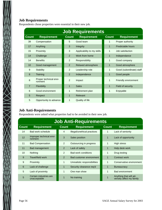Respondents chose properties were essential in their new job.

| <b>Job Requirements</b> |                                   |                |                            |              |                          |  |
|-------------------------|-----------------------------------|----------------|----------------------------|--------------|--------------------------|--|
| <b>Count</b>            | <b>Requirement</b>                | <b>Count</b>   | <b>Requirement</b>         | <b>Count</b> | <b>Requirement</b>       |  |
| 39                      | Compensation                      | 5              | Good team                  | 1            | Proper authority         |  |
| 17                      | Anything                          | 3              | Integrity                  | 1            | Predictable hours        |  |
| 15                      | Proximity                         | 3              | Applicability to my skills | 1            | Job satisfaction         |  |
| 14                      | Challenge                         | 2              | Work from home             | 1            | Independance             |  |
| 14                      | <b>Benefits</b>                   | $\overline{2}$ | Responsibility             | 1            | Good company             |  |
| 10 <sup>1</sup>         | Good management                   | 2              | Relaxed atmosphere         | 1            | Good atmosphere          |  |
| 9                       | Stability                         | 2              | Leadership role            | 1            | Good (subordinate) staff |  |
| 8                       | Training                          | $\overline{2}$ | Independence               | 1            | Good people              |  |
| 8                       | Proper technical envi-<br>ronment | $\overline{2}$ | Impact                     | 1            | Friendly environment     |  |
| $\overline{7}$          | Flexibility                       | $\mathbf{1}$   | <b>Sales</b>               | 1            | Field of security        |  |
| 6                       | Good environment                  | 1              | Retirement plan            | 1            | Enjoyable                |  |
| 5                       | Respect                           | $\mathbf{1}$   | Relevant                   |              |                          |  |
| 5                       | Opportunity to advance            | $\mathbf{1}$   | Quality of life            |              |                          |  |

## **Job Anti-Requirements**

 $\frac{1}{2}$ 

Respondents were asked what properties had to be avoided in their new job.

| <b>Job Anti-Requirements</b> |                                        |                |                              |                |                                                    |  |  |
|------------------------------|----------------------------------------|----------------|------------------------------|----------------|----------------------------------------------------|--|--|
| <b>Count</b>                 | <b>Requirement</b>                     | <b>Count</b>   | <b>Requirement</b>           | <b>Count</b>   | <b>Requirement</b>                                 |  |  |
| 14                           | Bad work schedule                      | 4              | Illegal/unethical practices  | 1              | Lack of seniority                                  |  |  |
| 12                           | Improper technical envi-<br>ronment    | 3              | Sales position               | 1              | Lack of opportunity                                |  |  |
| 11                           | <b>Bad Compensation</b>                | 2              | Outsourcing in progress      | 1              | High stress                                        |  |  |
| 11                           | Bad management                         | 2              | Lack of safety               | $\mathbf{1}$   | Help desk work                                     |  |  |
| 10                           | <b>Nothing</b>                         | $\overline{2}$ | <b>Bad work conditions</b>   | 1              | Drug testing                                       |  |  |
| 9                            | Travel/field work                      | 2              | Bad customer environment     | $\mathbf{1}$   | Contract work                                      |  |  |
| 9                            | Proximity                              | 1              | Unrealistic responsibilities | 1              | Conservative environment                           |  |  |
| 6                            | Lack of challenge                      | 1              | Security clearance req'd     | 1              | <b>Bureaucracy</b>                                 |  |  |
| 5                            | Lack of proximity                      | 1              | One man show                 | 1              | <b>Bad environment</b>                             |  |  |
| 5                            | Certain industries are<br>unacceptable | 1              | No training                  | $\overline{1}$ | Anything that will ad-<br>versely affect my family |  |  |